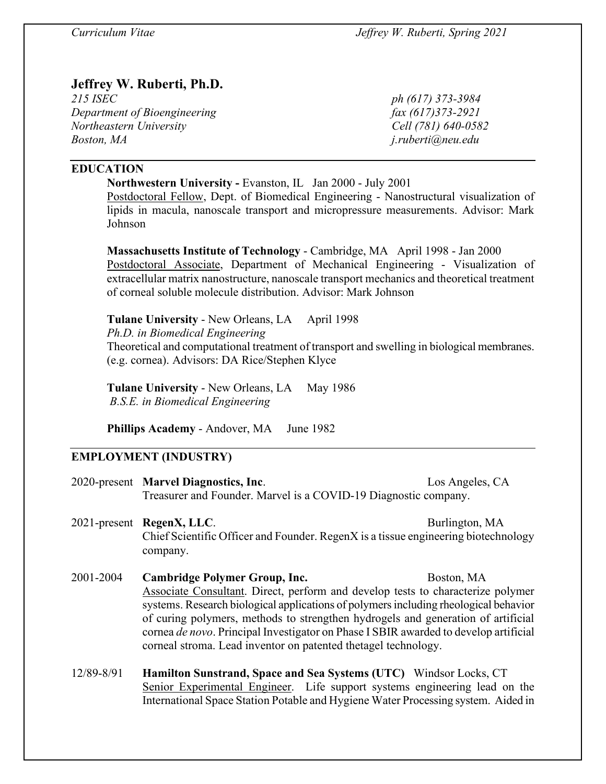# **Jeffrey W. Ruberti, Ph.D.**

*215 ISEC ph (617) 373-3984 Department of Bioengineering* fax (617)373-2921 *Northeastern University Cell (781) 640-0582 Boston, MA j.ruberti@neu.edu*

# **EDUCATION**

**Northwestern University -** Evanston, IL Jan 2000 - July 2001

Postdoctoral Fellow, Dept. of Biomedical Engineering - Nanostructural visualization of lipids in macula, nanoscale transport and micropressure measurements. Advisor: Mark Johnson

**Massachusetts Institute of Technology** - Cambridge, MA April 1998 - Jan 2000 Postdoctoral Associate, Department of Mechanical Engineering - Visualization of extracellular matrix nanostructure, nanoscale transport mechanics and theoretical treatment of corneal soluble molecule distribution. Advisor: Mark Johnson

**Tulane University** - New Orleans, LA April 1998 *Ph.D. in Biomedical Engineering* Theoretical and computational treatment of transport and swelling in biological membranes. (e.g. cornea). Advisors: DA Rice/Stephen Klyce

**Tulane University - New Orleans, LA May 1986** *B.S.E. in Biomedical Engineering*

**Phillips Academy** - Andover, MA June 1982

# **EMPLOYMENT (INDUSTRY)**

2020-present **Marvel Diagnostics, Inc**. Los Angeles, CA Treasurer and Founder. Marvel is a COVID-19 Diagnostic company. 2021-present **RegenX, LLC**. Burlington, MA Chief Scientific Officer and Founder. RegenX is a tissue engineering biotechnology company. 2001-2004 **Cambridge Polymer Group, Inc.** Boston, MA Associate Consultant. Direct, perform and develop tests to characterize polymer systems. Research biological applications of polymers including rheological behavior of curing polymers, methods to strengthen hydrogels and generation of artificial cornea *de novo*. Principal Investigator on Phase I SBIR awarded to develop artificial corneal stroma. Lead inventor on patented thetagel technology. 12/89-8/91 **Hamilton Sunstrand, Space and Sea Systems (UTC)** Windsor Locks, CT Senior Experimental Engineer. Life support systems engineering lead on the International Space Station Potable and Hygiene Water Processing system. Aided in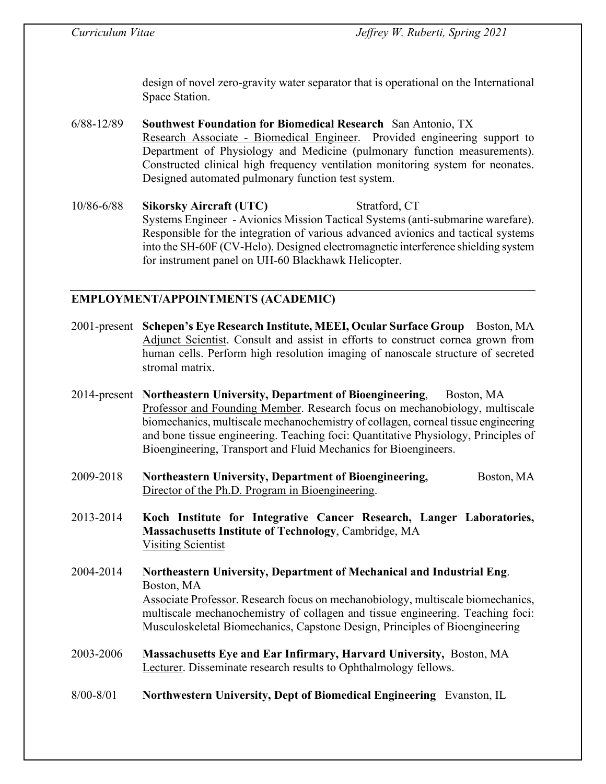design of novel zero-gravity water separator that is operational on the International Space Station.

- 6/88-12/89 **Southwest Foundation for Biomedical Research** San Antonio, TX Research Associate - Biomedical Engineer. Provided engineering support to Department of Physiology and Medicine (pulmonary function measurements). Constructed clinical high frequency ventilation monitoring system for neonates. Designed automated pulmonary function test system.
- 10/86-6/88 **Sikorsky Aircraft (UTC)** Stratford, CT Systems Engineer - Avionics Mission Tactical Systems (anti-submarine warefare). Responsible for the integration of various advanced avionics and tactical systems into the SH-60F (CV-Helo). Designed electromagnetic interference shielding system for instrument panel on UH-60 Blackhawk Helicopter.

# **EMPLOYMENT/APPOINTMENTS (ACADEMIC)**

- 2001-present **Schepen's Eye Research Institute, MEEI, Ocular Surface Group** Boston, MA Adjunct Scientist. Consult and assist in efforts to construct cornea grown from human cells. Perform high resolution imaging of nanoscale structure of secreted stromal matrix.
- 2014-present **Northeastern University, Department of Bioengineering**, Boston, MA Professor and Founding Member. Research focus on mechanobiology, multiscale biomechanics, multiscale mechanochemistry of collagen, corneal tissue engineering and bone tissue engineering. Teaching foci: Quantitative Physiology, Principles of Bioengineering, Transport and Fluid Mechanics for Bioengineers.
- 2009-2018 **Northeastern University, Department of Bioengineering,** Boston, MA Director of the Ph.D. Program in Bioengineering.
- 2013-2014 **Koch Institute for Integrative Cancer Research, Langer Laboratories, Massachusetts Institute of Technology**, Cambridge, MA Visiting Scientist
- 2004-2014 **Northeastern University, Department of Mechanical and Industrial Eng**. Boston, MA Associate Professor. Research focus on mechanobiology, multiscale biomechanics, multiscale mechanochemistry of collagen and tissue engineering. Teaching foci: Musculoskeletal Biomechanics, Capstone Design, Principles of Bioengineering
- 2003-2006 **Massachusetts Eye and Ear Infirmary, Harvard University,** Boston, MA Lecturer. Disseminate research results to Ophthalmology fellows.
- 8/00-8/01 **Northwestern University, Dept of Biomedical Engineering** Evanston, IL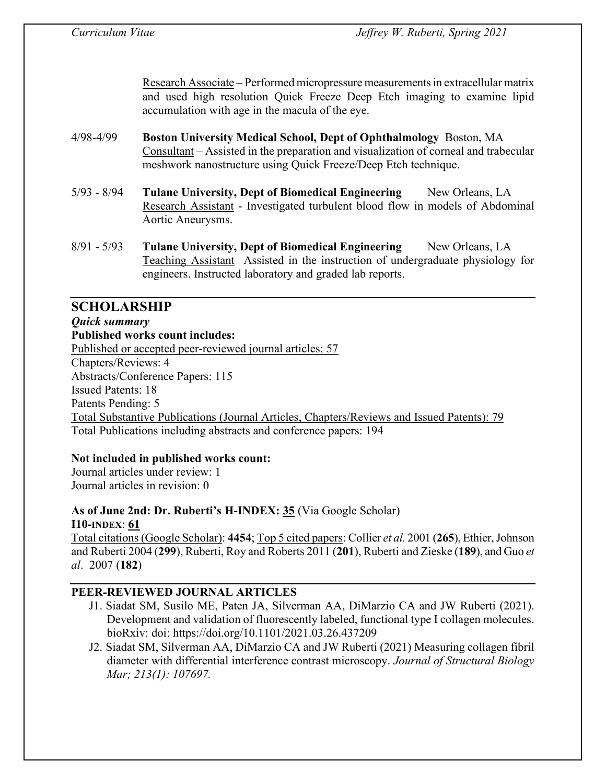Research Associate – Performed micropressure measurements in extracellular matrix and used high resolution Quick Freeze Deep Etch imaging to examine lipid accumulation with age in the macula of the eye.

- 4/98-4/99 **Boston University Medical School, Dept of Ophthalmology** Boston, MA Consultant – Assisted in the preparation and visualization of corneal and trabecular meshwork nanostructure using Quick Freeze/Deep Etch technique.
- 5/93 8/94 **Tulane University, Dept of Biomedical Engineering** New Orleans, LA Research Assistant - Investigated turbulent blood flow in models of Abdominal Aortic Aneurysms.
- 8/91 5/93 **Tulane University, Dept of Biomedical Engineering** New Orleans, LA Teaching Assistant Assisted in the instruction of undergraduate physiology for engineers. Instructed laboratory and graded lab reports.

# **SCHOLARSHIP** *Quick summary*  **Published works count includes:**  Published or accepted peer-reviewed journal articles: 57 Chapters/Reviews: 4 Abstracts/Conference Papers: 115 Issued Patents: 18 Patents Pending: 5 Total Substantive Publications (Journal Articles, Chapters/Reviews and Issued Patents): 79 Total Publications including abstracts and conference papers: 194

# **Not included in published works count:**

Journal articles under review: 1 Journal articles in revision: 0

# **As of June 2nd: Dr. Ruberti's H-INDEX: 35** (Via Google Scholar) **I10-INDEX**: **61**

Total citations(Google Scholar): **4454**; Top 5 cited papers: Collier *et al.* 2001 (**265**), Ethier, Johnson and Ruberti 2004 (**299**), Ruberti, Roy and Roberts 2011 (**201**), Ruberti and Zieske (**189**), and Guo *et al*. 2007 (**182**)

# **PEER-REVIEWED JOURNAL ARTICLES**

- J1. Siadat SM, Susilo ME, Paten JA, Silverman AA, DiMarzio CA and JW Ruberti (2021). Development and validation of fluorescently labeled, functional type I collagen molecules. bioRxiv: doi: https://doi.org/10.1101/2021.03.26.437209
- J2. Siadat SM, Silverman AA, DiMarzio CA and JW Ruberti (2021) Measuring collagen fibril diameter with differential interference contrast microscopy. *Journal of Structural Biology Mar; 213(1): 107697.*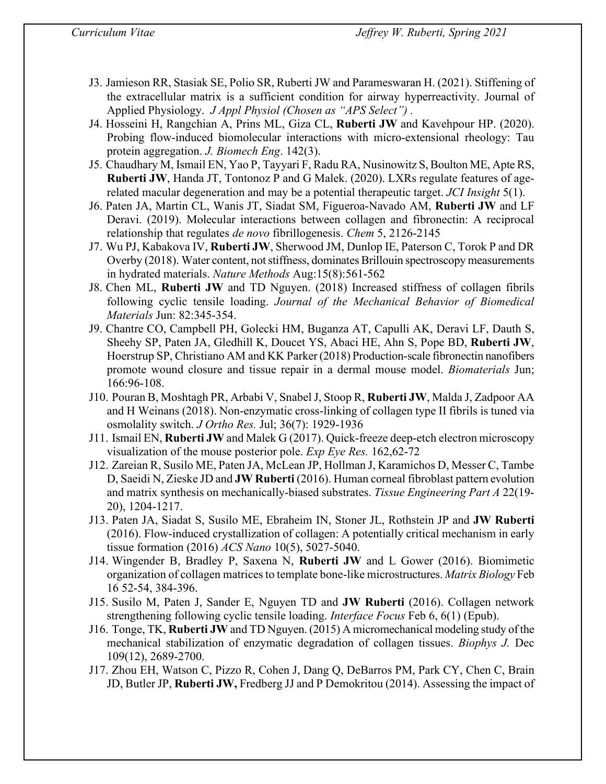- J3. Jamieson RR, Stasiak SE, Polio SR, Ruberti JW and Parameswaran H. (2021). Stiffening of the extracellular matrix is a sufficient condition for airway hyperreactivity. Journal of Applied Physiology. *J Appl Physiol (Chosen as "APS Select") .*
- J4. Hosseini H, Rangchian A, Prins ML, Giza CL, **Ruberti JW** and Kavehpour HP. (2020). Probing flow-induced biomolecular interactions with micro-extensional rheology: Tau protein aggregation. *J. Biomech Eng*. 142(3).
- J5. Chaudhary M, Ismail EN, Yao P, Tayyari F, Radu RA, Nusinowitz S, Boulton ME, Apte RS, **Ruberti JW**, Handa JT, Tontonoz P and G Malek. (2020). LXRs regulate features of agerelated macular degeneration and may be a potential therapeutic target. *JCI Insight* 5(1).
- J6. Paten JA, Martin CL, Wanis JT, Siadat SM, Figueroa-Navado AM, **Ruberti JW** and LF Deravi. (2019). Molecular interactions between collagen and fibronectin: A reciprocal relationship that regulates *de novo* fibrillogenesis. *Chem* 5, 2126-2145
- J7. Wu PJ, Kabakova IV, **Ruberti JW**, Sherwood JM, Dunlop IE, Paterson C, Torok P and DR Overby (2018). Water content, not stiffness, dominates Brillouin spectroscopy measurements in hydrated materials. *Nature Methods* Aug:15(8):561-562
- J8. Chen ML, **Ruberti JW** and TD Nguyen. (2018) Increased stiffness of collagen fibrils following cyclic tensile loading. *Journal of the Mechanical Behavior of Biomedical Materials* Jun: 82:345-354.
- J9. Chantre CO, Campbell PH, Golecki HM, Buganza AT, Capulli AK, Deravi LF, Dauth S, Sheehy SP, Paten JA, Gledhill K, Doucet YS, Abaci HE, Ahn S, Pope BD, **Ruberti JW**, Hoerstrup SP, Christiano AM and KK Parker (2018) Production-scale fibronectin nanofibers promote wound closure and tissue repair in a dermal mouse model. *Biomaterials* Jun; 166:96-108.
- J10. Pouran B, Moshtagh PR, Arbabi V, Snabel J, Stoop R, **Ruberti JW**, Malda J, Zadpoor AA and H Weinans (2018). Non-enzymatic cross-linking of collagen type II fibrils is tuned via osmolality switch. *J Ortho Res.* Jul; 36(7): 1929-1936
- J11. Ismail EN, **Ruberti JW** and Malek G (2017). Quick-freeze deep-etch electron microscopy visualization of the mouse posterior pole. *Exp Eye Res.* 162,62-72
- J12. Zareian R, Susilo ME, Paten JA, McLean JP, Hollman J, Karamichos D, Messer C, Tambe D, Saeidi N, Zieske JD and **JW Ruberti** (2016). Human corneal fibroblast pattern evolution and matrix synthesis on mechanically-biased substrates. *Tissue Engineering Part A* 22(19- 20), 1204-1217.
- J13. Paten JA, Siadat S, Susilo ME, Ebraheim IN, Stoner JL, Rothstein JP and **JW Ruberti** (2016). Flow-induced crystallization of collagen: A potentially critical mechanism in early tissue formation (2016) *ACS Nano* 10(5), 5027-5040.
- J14. Wingender B, Bradley P, Saxena N, **Ruberti JW** and L Gower (2016). Biomimetic organization of collagen matrices to template bone-like microstructures. *Matrix Biology* Feb 16 52-54, 384-396.
- J15. Susilo M, Paten J, Sander E, Nguyen TD and **JW Ruberti** (2016). Collagen network strengthening following cyclic tensile loading. *Interface Focus* Feb 6, 6(1) (Epub).
- J16. Tonge, TK, **Ruberti JW** and TD Nguyen. (2015) A micromechanical modeling study of the mechanical stabilization of enzymatic degradation of collagen tissues. *Biophys J.* Dec 109(12), 2689-2700.
- J17. Zhou EH, Watson C, Pizzo R, Cohen J, Dang Q, DeBarros PM, Park CY, Chen C, Brain JD, Butler JP, **Ruberti JW,** Fredberg JJ and P Demokritou (2014). Assessing the impact of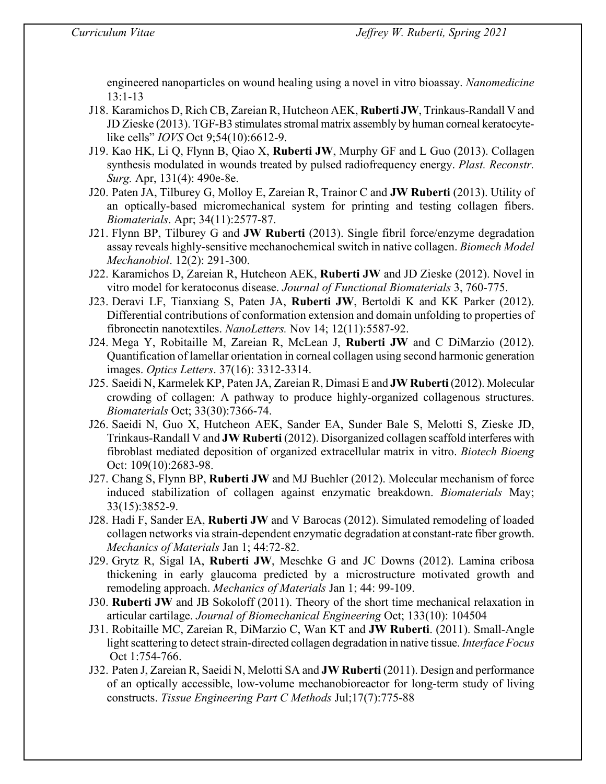engineered nanoparticles on wound healing using a novel in vitro bioassay. *Nanomedicine* 13:1-13

- J18. Karamichos D, Rich CB, Zareian R, Hutcheon AEK, **Ruberti JW**, Trinkaus-Randall V and JD Zieske (2013). TGF-B3 stimulates stromal matrix assembly by human corneal keratocytelike cells" *IOVS* Oct 9;54(10):6612-9.
- J19. Kao HK, Li Q, Flynn B, Qiao X, **Ruberti JW**, Murphy GF and L Guo (2013). Collagen synthesis modulated in wounds treated by pulsed radiofrequency energy. *Plast. Reconstr. Surg.* Apr, 131(4): 490e-8e.
- J20. Paten JA, Tilburey G, Molloy E, Zareian R, Trainor C and **JW Ruberti** (2013). Utility of an optically-based micromechanical system for printing and testing collagen fibers. *Biomaterials*. Apr; 34(11):2577-87.
- J21. Flynn BP, Tilburey G and **JW Ruberti** (2013). Single fibril force/enzyme degradation assay reveals highly-sensitive mechanochemical switch in native collagen. *Biomech Model Mechanobiol*. 12(2): 291-300.
- J22. Karamichos D, Zareian R, Hutcheon AEK, **Ruberti JW** and JD Zieske (2012). Novel in vitro model for keratoconus disease. *Journal of Functional Biomaterials* 3, 760-775.
- J23. Deravi LF, Tianxiang S, Paten JA, **Ruberti JW**, Bertoldi K and KK Parker (2012). Differential contributions of conformation extension and domain unfolding to properties of fibronectin nanotextiles. *NanoLetters.* Nov 14; 12(11):5587-92.
- J24. Mega Y, Robitaille M, Zareian R, McLean J, **Ruberti JW** and C DiMarzio (2012). Quantification of lamellar orientation in corneal collagen using second harmonic generation images. *Optics Letters*. 37(16): 3312-3314.
- J25. Saeidi N, Karmelek KP, Paten JA, Zareian R, Dimasi E and **JW Ruberti** (2012). Molecular crowding of collagen: A pathway to produce highly-organized collagenous structures. *Biomaterials* Oct; 33(30):7366-74.
- J26. Saeidi N, Guo X, Hutcheon AEK, Sander EA, Sunder Bale S, Melotti S, Zieske JD, Trinkaus-Randall V and **JW Ruberti** (2012). Disorganized collagen scaffold interferes with fibroblast mediated deposition of organized extracellular matrix in vitro. *Biotech Bioeng* Oct: 109(10):2683-98.
- J27. Chang S, Flynn BP, **Ruberti JW** and MJ Buehler (2012). Molecular mechanism of force induced stabilization of collagen against enzymatic breakdown. *Biomaterials* May; 33(15):3852-9.
- J28. Hadi F, Sander EA, **Ruberti JW** and V Barocas (2012). Simulated remodeling of loaded collagen networks via strain-dependent enzymatic degradation at constant-rate fiber growth. *Mechanics of Materials* Jan 1; 44:72-82.
- J29. Grytz R, Sigal IA, **Ruberti JW**, Meschke G and JC Downs (2012). Lamina cribosa thickening in early glaucoma predicted by a microstructure motivated growth and remodeling approach. *Mechanics of Materials* Jan 1; 44: 99-109.
- J30. **Ruberti JW** and JB Sokoloff (2011). Theory of the short time mechanical relaxation in articular cartilage. *Journal of Biomechanical Engineering* Oct; 133(10): 104504
- J31. Robitaille MC, Zareian R, DiMarzio C, Wan KT and **JW Ruberti**. (2011). Small-Angle light scattering to detect strain-directed collagen degradation in native tissue. *Interface Focus* Oct 1:754-766.
- J32. Paten J, Zareian R, Saeidi N, Melotti SA and **JW Ruberti** (2011). Design and performance of an optically accessible, low-volume mechanobioreactor for long-term study of living constructs. *Tissue Engineering Part C Methods* Jul;17(7):775-88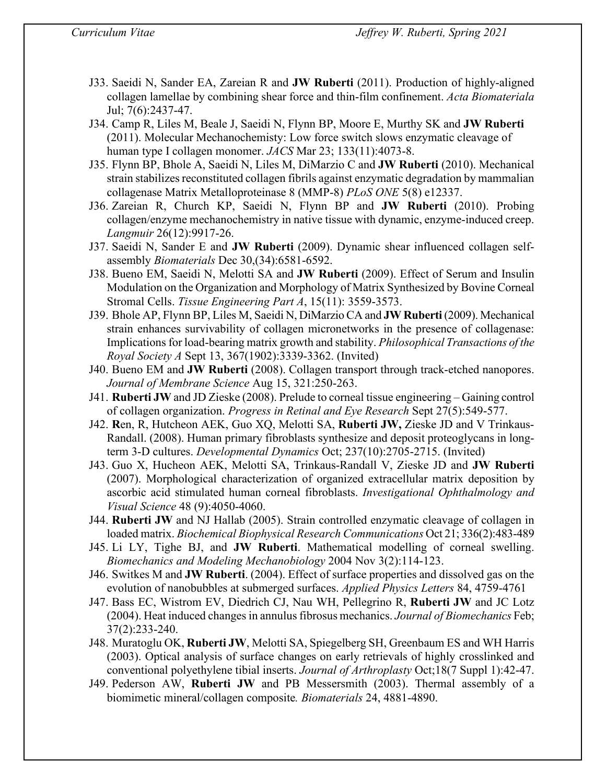- J33. Saeidi N, Sander EA, Zareian R and **JW Ruberti** (2011). Production of highly-aligned collagen lamellae by combining shear force and thin-film confinement. *Acta Biomateriala* Jul; 7(6):2437-47.
- J34. Camp R, Liles M, Beale J, Saeidi N, Flynn BP, Moore E, Murthy SK and **JW Ruberti** (2011). Molecular Mechanochemisty: Low force switch slows enzymatic cleavage of human type I collagen monomer. *JACS* Mar 23; 133(11):4073-8.
- J35. Flynn BP, Bhole A, Saeidi N, Liles M, DiMarzio C and **JW Ruberti** (2010). Mechanical strain stabilizes reconstituted collagen fibrils against enzymatic degradation by mammalian collagenase Matrix Metalloproteinase 8 (MMP-8) *PLoS ONE* 5(8) e12337.
- J36. Zareian R, Church KP, Saeidi N, Flynn BP and **JW Ruberti** (2010). Probing collagen/enzyme mechanochemistry in native tissue with dynamic, enzyme-induced creep. *Langmuir* 26(12):9917-26.
- J37. Saeidi N, Sander E and **JW Ruberti** (2009). Dynamic shear influenced collagen selfassembly *Biomaterials* Dec 30,(34):6581-6592.
- J38. Bueno EM, Saeidi N, Melotti SA and **JW Ruberti** (2009). Effect of Serum and Insulin Modulation on the Organization and Morphology of Matrix Synthesized by Bovine Corneal Stromal Cells. *Tissue Engineering Part A*, 15(11): 3559-3573.
- J39. Bhole AP, Flynn BP, Liles M, Saeidi N, DiMarzio CA and **JW Ruberti** (2009). Mechanical strain enhances survivability of collagen micronetworks in the presence of collagenase: Implications for load-bearing matrix growth and stability. *Philosophical Transactions of the Royal Society A* Sept 13, 367(1902):3339-3362. (Invited)
- J40. Bueno EM and **JW Ruberti** (2008). Collagen transport through track-etched nanopores. *Journal of Membrane Science* Aug 15, 321:250-263.
- J41. **Ruberti JW** and JD Zieske (2008). Prelude to corneal tissue engineering Gaining control of collagen organization. *Progress in Retinal and Eye Research* Sept 27(5):549-577.
- J42. **R**en, R, Hutcheon AEK, Guo XQ, Melotti SA, **Ruberti JW,** Zieske JD and V Trinkaus-Randall. (2008). Human primary fibroblasts synthesize and deposit proteoglycans in longterm 3-D cultures. *Developmental Dynamics* Oct; 237(10):2705-2715. (Invited)
- J43. Guo X, Hucheon AEK, Melotti SA, Trinkaus-Randall V, Zieske JD and **JW Ruberti** (2007). Morphological characterization of organized extracellular matrix deposition by ascorbic acid stimulated human corneal fibroblasts. *Investigational Ophthalmology and Visual Science* 48 (9):4050-4060.
- J44. **Ruberti JW** and NJ Hallab (2005). Strain controlled enzymatic cleavage of collagen in loaded matrix. *Biochemical Biophysical Research Communications* Oct 21; 336(2):483-489
- J45. Li LY, Tighe BJ, and **JW Ruberti**. Mathematical modelling of corneal swelling. *Biomechanics and Modeling Mechanobiology* 2004 Nov 3(2):114-123.
- J46. Switkes M and **JW Ruberti**. (2004). Effect of surface properties and dissolved gas on the evolution of nanobubbles at submerged surfaces. *Applied Physics Letters* 84, 4759-4761
- J47. Bass EC, Wistrom EV, Diedrich CJ, Nau WH, Pellegrino R, **Ruberti JW** and JC Lotz (2004). Heat induced changes in annulus fibrosus mechanics. *Journal of Biomechanics* Feb; 37(2):233-240.
- J48. Muratoglu OK, **Ruberti JW**, Melotti SA, Spiegelberg SH, Greenbaum ES and WH Harris (2003). Optical analysis of surface changes on early retrievals of highly crosslinked and conventional polyethylene tibial inserts. *Journal of Arthroplasty* Oct;18(7 Suppl 1):42-47.
- J49. Pederson AW, **Ruberti JW** and PB Messersmith (2003). Thermal assembly of a biomimetic mineral/collagen composite*. Biomaterials* 24, 4881-4890.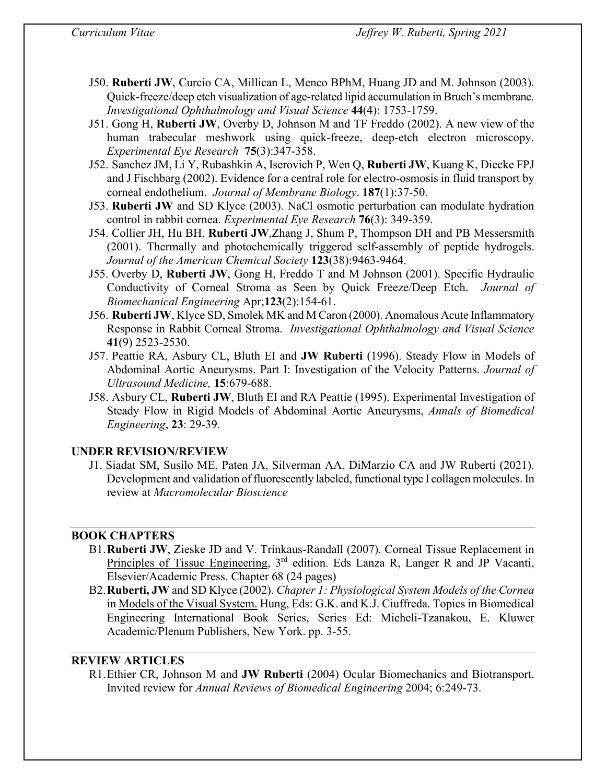- J50. **Ruberti JW**, Curcio CA, Millican L, Menco BPhM, Huang JD and M. Johnson (2003). Quick-freeze/deep etch visualization of age-related lipid accumulation in Bruch's membrane*. Investigational Ophthalmology and Visual Science* **44**(4): 1753-1759.
- J51. Gong H, **Ruberti JW**, Overby D, Johnson M and TF Freddo (2002). A new view of the human trabecular meshwork using quick-freeze, deep-etch electron microscopy. *Experimental Eye Research* **75**(3):347-358.
- J52. Sanchez JM, Li Y, Rubashkin A, Iserovich P, Wen Q, **Ruberti JW**, Kuang K, Diecke FPJ and J Fischbarg (2002). Evidence for a central role for electro-osmosis in fluid transport by corneal endothelium. *Journal of Membrane Biology*. **187**(1):37-50.
- J53. **Ruberti JW** and SD Klyce (2003). NaCl osmotic perturbation can modulate hydration control in rabbit cornea. *Experimental Eye Research* **76**(3): 349-359.
- J54. Collier JH, Hu BH, **Ruberti JW**,Zhang J, Shum P, Thompson DH and PB Messersmith (2001). Thermally and photochemically triggered self-assembly of peptide hydrogels. *Journal of the American Chemical Society* **123**(38):9463-9464.
- J55. Overby D, **Ruberti JW**, Gong H, Freddo T and M Johnson (2001). Specific Hydraulic Conductivity of Corneal Stroma as Seen by Quick Freeze/Deep Etch. *Journal of Biomechanical Engineering* Apr;**123**(2):154-61.
- J56. **Ruberti JW**, Klyce SD, Smolek MK and M Caron (2000). Anomalous Acute Inflammatory Response in Rabbit Corneal Stroma. *Investigational Ophthalmology and Visual Science* **41**(9) 2523-2530.
- J57. Peattie RA, Asbury CL, Bluth EI and **JW Ruberti** (1996). Steady Flow in Models of Abdominal Aortic Aneurysms. Part I: Investigation of the Velocity Patterns. *Journal of Ultrasound Medicine,* **15**:679-688.
- J58. Asbury CL, **Ruberti JW**, Bluth EI and RA Peattie (1995). Experimental Investigation of Steady Flow in Rigid Models of Abdominal Aortic Aneurysms, *Annals of Biomedical Engineering*, **23**: 29-39.

# **UNDER REVISION/REVIEW**

J1. Siadat SM, Susilo ME, Paten JA, Silverman AA, DiMarzio CA and JW Ruberti (2021). Development and validation of fluorescently labeled, functional type I collagen molecules. In review at *Macromolecular Bioscience*

# **BOOK CHAPTERS**

- B1.**Ruberti JW**, Zieske JD and V. Trinkaus-Randall (2007). Corneal Tissue Replacement in Principles of Tissue Engineering, 3rd edition. Eds Lanza R, Langer R and JP Vacanti, Elsevier/Academic Press. Chapter 68 (24 pages)
- B2.**Ruberti, JW** and SD Klyce (2002). *Chapter 1: Physiological System Models of the Cornea* in Models of the Visual System. Hung, Eds: G.K. and K.J. Ciuffreda. Topics in Biomedical Engineering International Book Series, Series Ed: Micheli-Tzanakou, E. Kluwer Academic/Plenum Publishers, New York. pp. 3-55.

# **REVIEW ARTICLES**

R1.Ethier CR, Johnson M and **JW Ruberti** (2004) Ocular Biomechanics and Biotransport. Invited review for *Annual Reviews of Biomedical Engineering* 2004; 6:249-73.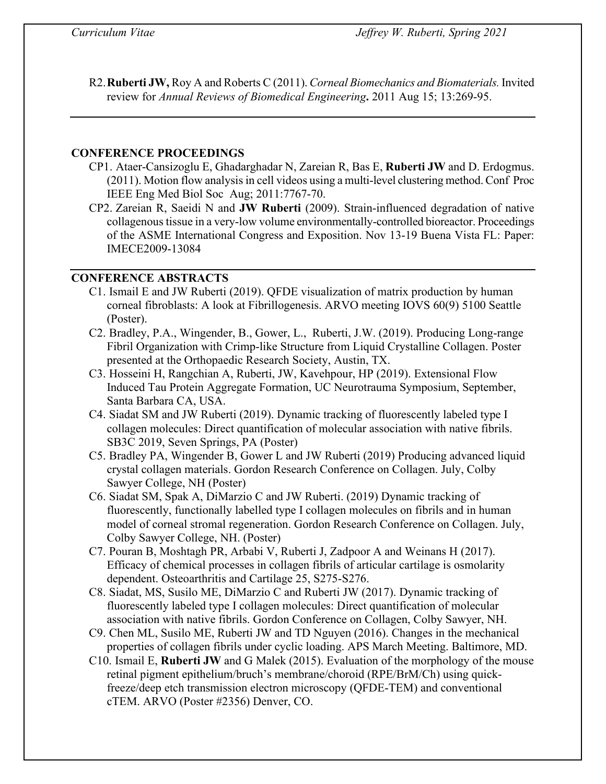R2.**Ruberti JW,** Roy A and Roberts C (2011). *Corneal Biomechanics and Biomaterials.* Invited review for *Annual Reviews of Biomedical Engineering***.** 2011 Aug 15; 13:269-95.

### **CONFERENCE PROCEEDINGS**

- CP1. Ataer-Cansizoglu E, Ghadarghadar N, Zareian R, Bas E, **Ruberti JW** and D. Erdogmus. (2011). Motion flow analysis in cell videos using a multi-level clustering method. Conf Proc IEEE Eng Med Biol Soc Aug; 2011:7767-70.
- CP2. Zareian R, Saeidi N and **JW Ruberti** (2009). Strain-influenced degradation of native collagenous tissue in a very-low volume environmentally-controlled bioreactor. Proceedings of the ASME International Congress and Exposition. Nov 13-19 Buena Vista FL: Paper: IMECE2009-13084

### **CONFERENCE ABSTRACTS**

- C1. Ismail E and JW Ruberti (2019). QFDE visualization of matrix production by human corneal fibroblasts: A look at Fibrillogenesis. ARVO meeting IOVS 60(9) 5100 Seattle (Poster).
- C2. Bradley, P.A., Wingender, B., Gower, L., Ruberti, J.W. (2019). Producing Long-range Fibril Organization with Crimp-like Structure from Liquid Crystalline Collagen. Poster presented at the Orthopaedic Research Society, Austin, TX.
- C3. Hosseini H, Rangchian A, Ruberti, JW, Kavehpour, HP (2019). Extensional Flow Induced Tau Protein Aggregate Formation, UC Neurotrauma Symposium, September, Santa Barbara CA, USA.
- C4. Siadat SM and JW Ruberti (2019). Dynamic tracking of fluorescently labeled type I collagen molecules: Direct quantification of molecular association with native fibrils. SB3C 2019, Seven Springs, PA (Poster)
- C5. Bradley PA, Wingender B, Gower L and JW Ruberti (2019) Producing advanced liquid crystal collagen materials. Gordon Research Conference on Collagen. July, Colby Sawyer College, NH (Poster)
- C6. Siadat SM, Spak A, DiMarzio C and JW Ruberti. (2019) Dynamic tracking of fluorescently, functionally labelled type I collagen molecules on fibrils and in human model of corneal stromal regeneration. Gordon Research Conference on Collagen. July, Colby Sawyer College, NH. (Poster)
- C7. Pouran B, Moshtagh PR, Arbabi V, Ruberti J, Zadpoor A and Weinans H (2017). Efficacy of chemical processes in collagen fibrils of articular cartilage is osmolarity dependent. Osteoarthritis and Cartilage 25, S275-S276.
- C8. Siadat, MS, Susilo ME, DiMarzio C and Ruberti JW (2017). Dynamic tracking of fluorescently labeled type I collagen molecules: Direct quantification of molecular association with native fibrils. Gordon Conference on Collagen, Colby Sawyer, NH.
- C9. Chen ML, Susilo ME, Ruberti JW and TD Nguyen (2016). Changes in the mechanical properties of collagen fibrils under cyclic loading. APS March Meeting. Baltimore, MD.
- C10. Ismail E, **Ruberti JW** and G Malek (2015). Evaluation of the morphology of the mouse retinal pigment epithelium/bruch's membrane/choroid (RPE/BrM/Ch) using quickfreeze/deep etch transmission electron microscopy (QFDE-TEM) and conventional cTEM. ARVO (Poster #2356) Denver, CO.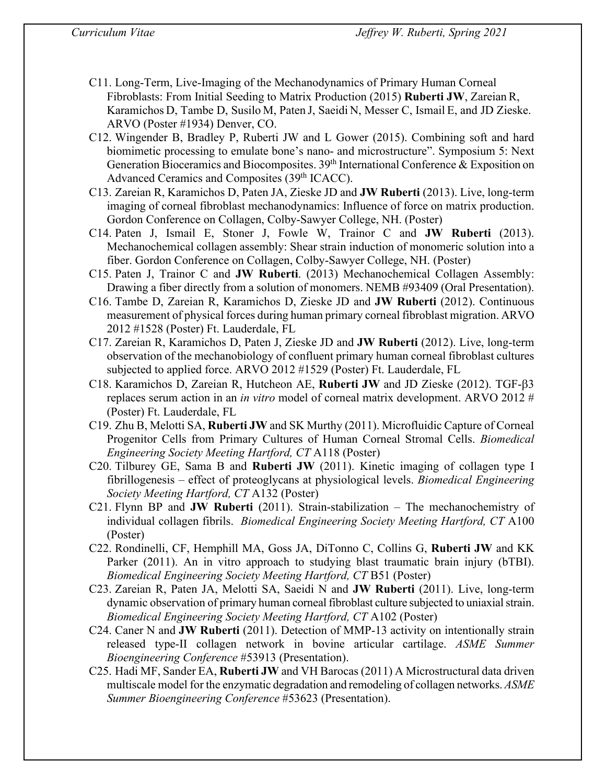- C11. Long-Term, Live-Imaging of the Mechanodynamics of Primary Human Corneal Fibroblasts: From Initial Seeding to Matrix Production (2015) **Ruberti JW**, Zareian R, Karamichos D, Tambe D, Susilo M, Paten J, Saeidi N, Messer C, Ismail E, and JD Zieske. ARVO (Poster #1934) Denver, CO.
- C12. Wingender B, Bradley P, Ruberti JW and L Gower (2015). Combining soft and hard biomimetic processing to emulate bone's nano- and microstructure". Symposium 5: Next Generation Bioceramics and Biocomposites.  $39<sup>th</sup>$  International Conference & Exposition on Advanced Ceramics and Composites (39<sup>th</sup> ICACC).
- C13. Zareian R, Karamichos D, Paten JA, Zieske JD and **JW Ruberti** (2013). Live, long-term imaging of corneal fibroblast mechanodynamics: Influence of force on matrix production. Gordon Conference on Collagen, Colby-Sawyer College, NH. (Poster)
- C14. Paten J, Ismail E, Stoner J, Fowle W, Trainor C and **JW Ruberti** (2013). Mechanochemical collagen assembly: Shear strain induction of monomeric solution into a fiber. Gordon Conference on Collagen, Colby-Sawyer College, NH. (Poster)
- C15. Paten J, Trainor C and **JW Ruberti**. (2013) Mechanochemical Collagen Assembly: Drawing a fiber directly from a solution of monomers. NEMB #93409 (Oral Presentation).
- C16. Tambe D, Zareian R, Karamichos D, Zieske JD and **JW Ruberti** (2012). Continuous measurement of physical forces during human primary corneal fibroblast migration. ARVO 2012 #1528 (Poster) Ft. Lauderdale, FL
- C17. Zareian R, Karamichos D, Paten J, Zieske JD and **JW Ruberti** (2012). Live, long-term observation of the mechanobiology of confluent primary human corneal fibroblast cultures subjected to applied force. ARVO 2012 #1529 (Poster) Ft. Lauderdale, FL
- C18. Karamichos D, Zareian R, Hutcheon AE, **Ruberti JW** and JD Zieske (2012). TGF-β3 replaces serum action in an *in vitro* model of corneal matrix development. ARVO 2012 # (Poster) Ft. Lauderdale, FL
- C19. Zhu B, Melotti SA, **Ruberti JW** and SK Murthy (2011). Microfluidic Capture of Corneal Progenitor Cells from Primary Cultures of Human Corneal Stromal Cells. *Biomedical Engineering Society Meeting Hartford, CT* A118 (Poster)
- C20. Tilburey GE, Sama B and **Ruberti JW** (2011). Kinetic imaging of collagen type I fibrillogenesis – effect of proteoglycans at physiological levels. *Biomedical Engineering Society Meeting Hartford, CT* A132 (Poster)
- C21. Flynn BP and **JW Ruberti** (2011). Strain-stabilization The mechanochemistry of individual collagen fibrils. *Biomedical Engineering Society Meeting Hartford, CT* A100 (Poster)
- C22. Rondinelli, CF, Hemphill MA, Goss JA, DiTonno C, Collins G, **Ruberti JW** and KK Parker (2011). An in vitro approach to studying blast traumatic brain injury (bTBI). *Biomedical Engineering Society Meeting Hartford, CT* B51 (Poster)
- C23. Zareian R, Paten JA, Melotti SA, Saeidi N and **JW Ruberti** (2011). Live, long-term dynamic observation of primary human corneal fibroblast culture subjected to uniaxial strain. *Biomedical Engineering Society Meeting Hartford, CT* A102 (Poster)
- C24. Caner N and **JW Ruberti** (2011). Detection of MMP-13 activity on intentionally strain released type-II collagen network in bovine articular cartilage. *ASME Summer Bioengineering Conference* #53913 (Presentation).
- C25. Hadi MF, Sander EA, **Ruberti JW** and VH Barocas (2011) A Microstructural data driven multiscale model for the enzymatic degradation and remodeling of collagen networks. *ASME Summer Bioengineering Conference* #53623 (Presentation).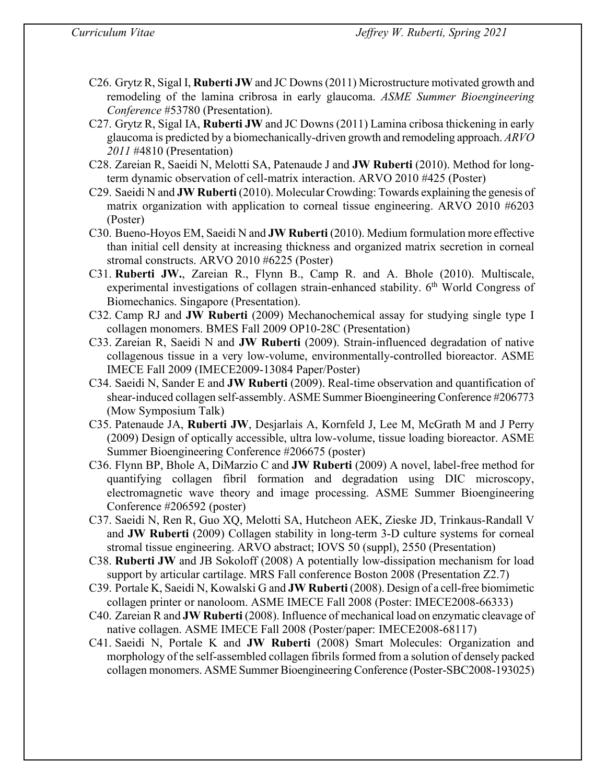- C26. Grytz R, Sigal I, **Ruberti JW** and JC Downs(2011) Microstructure motivated growth and remodeling of the lamina cribrosa in early glaucoma. *ASME Summer Bioengineering Conference* #53780 (Presentation).
- C27. Grytz R, Sigal IA, **Ruberti JW** and JC Downs (2011) Lamina cribosa thickening in early glaucoma is predicted by a biomechanically-driven growth and remodeling approach. *ARVO 2011* #4810 (Presentation)
- C28. Zareian R, Saeidi N, Melotti SA, Patenaude J and **JW Ruberti** (2010). Method for longterm dynamic observation of cell-matrix interaction. ARVO 2010 #425 (Poster)
- C29. Saeidi N and **JW Ruberti** (2010). Molecular Crowding: Towards explaining the genesis of matrix organization with application to corneal tissue engineering. ARVO 2010 #6203 (Poster)
- C30. Bueno-Hoyos EM, Saeidi N and **JW Ruberti** (2010). Medium formulation more effective than initial cell density at increasing thickness and organized matrix secretion in corneal stromal constructs. ARVO 2010 #6225 (Poster)
- C31. **Ruberti JW.**, Zareian R., Flynn B., Camp R. and A. Bhole (2010). Multiscale, experimental investigations of collagen strain-enhanced stability.  $6<sup>th</sup>$  World Congress of Biomechanics. Singapore (Presentation).
- C32. Camp RJ and **JW Ruberti** (2009) Mechanochemical assay for studying single type I collagen monomers. BMES Fall 2009 OP10-28C (Presentation)
- C33. Zareian R, Saeidi N and **JW Ruberti** (2009). Strain-influenced degradation of native collagenous tissue in a very low-volume, environmentally-controlled bioreactor. ASME IMECE Fall 2009 (IMECE2009-13084 Paper/Poster)
- C34. Saeidi N, Sander E and **JW Ruberti** (2009). Real-time observation and quantification of shear-induced collagen self-assembly. ASME Summer Bioengineering Conference #206773 (Mow Symposium Talk)
- C35. Patenaude JA, **Ruberti JW**, Desjarlais A, Kornfeld J, Lee M, McGrath M and J Perry (2009) Design of optically accessible, ultra low-volume, tissue loading bioreactor. ASME Summer Bioengineering Conference #206675 (poster)
- C36. Flynn BP, Bhole A, DiMarzio C and **JW Ruberti** (2009) A novel, label-free method for quantifying collagen fibril formation and degradation using DIC microscopy, electromagnetic wave theory and image processing. ASME Summer Bioengineering Conference #206592 (poster)
- C37. Saeidi N, Ren R, Guo XQ, Melotti SA, Hutcheon AEK, Zieske JD, Trinkaus-Randall V and **JW Ruberti** (2009) Collagen stability in long-term 3-D culture systems for corneal stromal tissue engineering. ARVO abstract; IOVS 50 (suppl), 2550 (Presentation)
- C38. **Ruberti JW** and JB Sokoloff (2008) A potentially low-dissipation mechanism for load support by articular cartilage. MRS Fall conference Boston 2008 (Presentation Z2.7)
- C39. Portale K, Saeidi N, Kowalski G and **JW Ruberti** (2008). Design of a cell-free biomimetic collagen printer or nanoloom. ASME IMECE Fall 2008 (Poster: IMECE2008-66333)
- C40. Zareian R and **JW Ruberti** (2008). Influence of mechanical load on enzymatic cleavage of native collagen. ASME IMECE Fall 2008 (Poster/paper: IMECE2008-68117)
- C41. Saeidi N, Portale K and **JW Ruberti** (2008) Smart Molecules: Organization and morphology of the self-assembled collagen fibrils formed from a solution of densely packed collagen monomers. ASME Summer Bioengineering Conference (Poster-SBC2008-193025)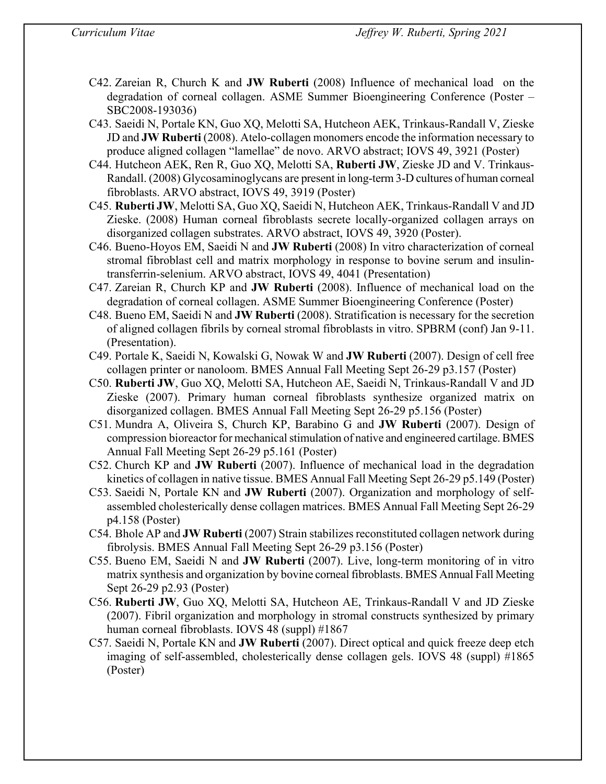- C42. Zareian R, Church K and **JW Ruberti** (2008) Influence of mechanical load on the degradation of corneal collagen. ASME Summer Bioengineering Conference (Poster – SBC2008-193036)
- C43. Saeidi N, Portale KN, Guo XQ, Melotti SA, Hutcheon AEK, Trinkaus-Randall V, Zieske JD and **JW Ruberti** (2008). Atelo-collagen monomers encode the information necessary to produce aligned collagen "lamellae" de novo. ARVO abstract; IOVS 49, 3921 (Poster)
- C44. Hutcheon AEK, Ren R, Guo XQ, Melotti SA, **Ruberti JW**, Zieske JD and V. Trinkaus-Randall. (2008) Glycosaminoglycans are present in long-term 3-D cultures of human corneal fibroblasts. ARVO abstract, IOVS 49, 3919 (Poster)
- C45. **Ruberti JW**, Melotti SA, Guo XQ, Saeidi N, Hutcheon AEK, Trinkaus-Randall V and JD Zieske. (2008) Human corneal fibroblasts secrete locally-organized collagen arrays on disorganized collagen substrates. ARVO abstract, IOVS 49, 3920 (Poster).
- C46. Bueno-Hoyos EM, Saeidi N and **JW Ruberti** (2008) In vitro characterization of corneal stromal fibroblast cell and matrix morphology in response to bovine serum and insulintransferrin-selenium. ARVO abstract, IOVS 49, 4041 (Presentation)
- C47. Zareian R, Church KP and **JW Ruberti** (2008). Influence of mechanical load on the degradation of corneal collagen. ASME Summer Bioengineering Conference (Poster)
- C48. Bueno EM, Saeidi N and **JW Ruberti** (2008). Stratification is necessary for the secretion of aligned collagen fibrils by corneal stromal fibroblasts in vitro. SPBRM (conf) Jan 9-11. (Presentation).
- C49. Portale K, Saeidi N, Kowalski G, Nowak W and **JW Ruberti** (2007). Design of cell free collagen printer or nanoloom. BMES Annual Fall Meeting Sept 26-29 p3.157 (Poster)
- C50. **Ruberti JW**, Guo XQ, Melotti SA, Hutcheon AE, Saeidi N, Trinkaus-Randall V and JD Zieske (2007). Primary human corneal fibroblasts synthesize organized matrix on disorganized collagen. BMES Annual Fall Meeting Sept 26-29 p5.156 (Poster)
- C51. Mundra A, Oliveira S, Church KP, Barabino G and **JW Ruberti** (2007). Design of compression bioreactor for mechanical stimulation of native and engineered cartilage. BMES Annual Fall Meeting Sept 26-29 p5.161 (Poster)
- C52. Church KP and **JW Ruberti** (2007). Influence of mechanical load in the degradation kinetics of collagen in native tissue. BMES Annual Fall Meeting Sept 26-29 p5.149 (Poster)
- C53. Saeidi N, Portale KN and **JW Ruberti** (2007). Organization and morphology of selfassembled cholesterically dense collagen matrices. BMES Annual Fall Meeting Sept 26-29 p4.158 (Poster)
- C54. Bhole AP and **JW Ruberti** (2007) Strain stabilizes reconstituted collagen network during fibrolysis. BMES Annual Fall Meeting Sept 26-29 p3.156 (Poster)
- C55. Bueno EM, Saeidi N and **JW Ruberti** (2007). Live, long-term monitoring of in vitro matrix synthesis and organization by bovine corneal fibroblasts. BMES Annual Fall Meeting Sept 26-29 p2.93 (Poster)
- C56. **Ruberti JW**, Guo XQ, Melotti SA, Hutcheon AE, Trinkaus-Randall V and JD Zieske (2007). Fibril organization and morphology in stromal constructs synthesized by primary human corneal fibroblasts. IOVS 48 (suppl) #1867
- C57. Saeidi N, Portale KN and **JW Ruberti** (2007). Direct optical and quick freeze deep etch imaging of self-assembled, cholesterically dense collagen gels. IOVS 48 (suppl) #1865 (Poster)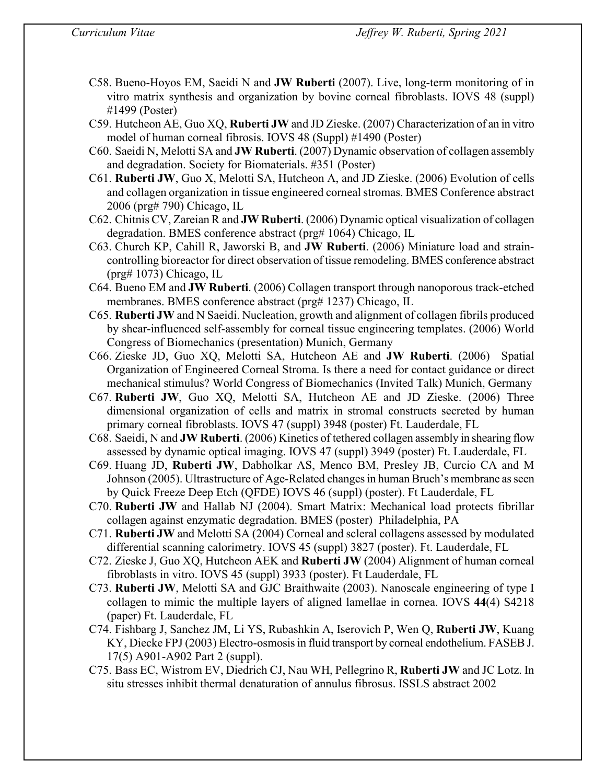- C58. Bueno-Hoyos EM, Saeidi N and **JW Ruberti** (2007). Live, long-term monitoring of in vitro matrix synthesis and organization by bovine corneal fibroblasts. IOVS 48 (suppl) #1499 (Poster)
- C59. Hutcheon AE, Guo XQ, **Ruberti JW** and JD Zieske. (2007) Characterization of an in vitro model of human corneal fibrosis. IOVS 48 (Suppl) #1490 (Poster)
- C60. Saeidi N, Melotti SA and **JW Ruberti**. (2007) Dynamic observation of collagen assembly and degradation. Society for Biomaterials. #351 (Poster)
- C61. **Ruberti JW**, Guo X, Melotti SA, Hutcheon A, and JD Zieske. (2006) Evolution of cells and collagen organization in tissue engineered corneal stromas. BMES Conference abstract 2006 (prg# 790) Chicago, IL
- C62. Chitnis CV, Zareian R and **JW Ruberti**. (2006) Dynamic optical visualization of collagen degradation. BMES conference abstract (prg# 1064) Chicago, IL
- C63. Church KP, Cahill R, Jaworski B, and **JW Ruberti**. (2006) Miniature load and straincontrolling bioreactor for direct observation of tissue remodeling. BMES conference abstract (prg# 1073) Chicago, IL
- C64. Bueno EM and **JW Ruberti**. (2006) Collagen transport through nanoporous track-etched membranes. BMES conference abstract (prg# 1237) Chicago, IL
- C65. **Ruberti JW** and N Saeidi. Nucleation, growth and alignment of collagen fibrils produced by shear-influenced self-assembly for corneal tissue engineering templates. (2006) World Congress of Biomechanics (presentation) Munich, Germany
- C66. Zieske JD, Guo XQ, Melotti SA, Hutcheon AE and **JW Ruberti**. (2006) Spatial Organization of Engineered Corneal Stroma. Is there a need for contact guidance or direct mechanical stimulus? World Congress of Biomechanics (Invited Talk) Munich, Germany
- C67. **Ruberti JW**, Guo XQ, Melotti SA, Hutcheon AE and JD Zieske. (2006) Three dimensional organization of cells and matrix in stromal constructs secreted by human primary corneal fibroblasts. IOVS 47 (suppl) 3948 (poster) Ft. Lauderdale, FL
- C68. Saeidi, N and **JW Ruberti**. (2006) Kinetics of tethered collagen assembly in shearing flow assessed by dynamic optical imaging. IOVS 47 (suppl) 3949 (poster) Ft. Lauderdale, FL
- C69. Huang JD, **Ruberti JW**, Dabholkar AS, Menco BM, Presley JB, Curcio CA and M Johnson (2005). Ultrastructure of Age-Related changes in human Bruch's membrane as seen by Quick Freeze Deep Etch (QFDE) IOVS 46 (suppl) (poster). Ft Lauderdale, FL
- C70. **Ruberti JW** and Hallab NJ (2004). Smart Matrix: Mechanical load protects fibrillar collagen against enzymatic degradation. BMES (poster) Philadelphia, PA
- C71. **Ruberti JW** and Melotti SA (2004) Corneal and scleral collagens assessed by modulated differential scanning calorimetry. IOVS 45 (suppl) 3827 (poster). Ft. Lauderdale, FL
- C72. Zieske J, Guo XQ, Hutcheon AEK and **Ruberti JW** (2004) Alignment of human corneal fibroblasts in vitro. IOVS 45 (suppl) 3933 (poster). Ft Lauderdale, FL
- C73. **Ruberti JW**, Melotti SA and GJC Braithwaite (2003). Nanoscale engineering of type I collagen to mimic the multiple layers of aligned lamellae in cornea. IOVS **44**(4) S4218 (paper) Ft. Lauderdale, FL
- C74. Fishbarg J, Sanchez JM, Li YS, Rubashkin A, Iserovich P, Wen Q, **Ruberti JW**, Kuang KY, Diecke FPJ (2003) Electro-osmosis in fluid transport by corneal endothelium. FASEB J. 17(5) A901-A902 Part 2 (suppl).
- C75. Bass EC, Wistrom EV, Diedrich CJ, Nau WH, Pellegrino R, **Ruberti JW** and JC Lotz. In situ stresses inhibit thermal denaturation of annulus fibrosus. ISSLS abstract 2002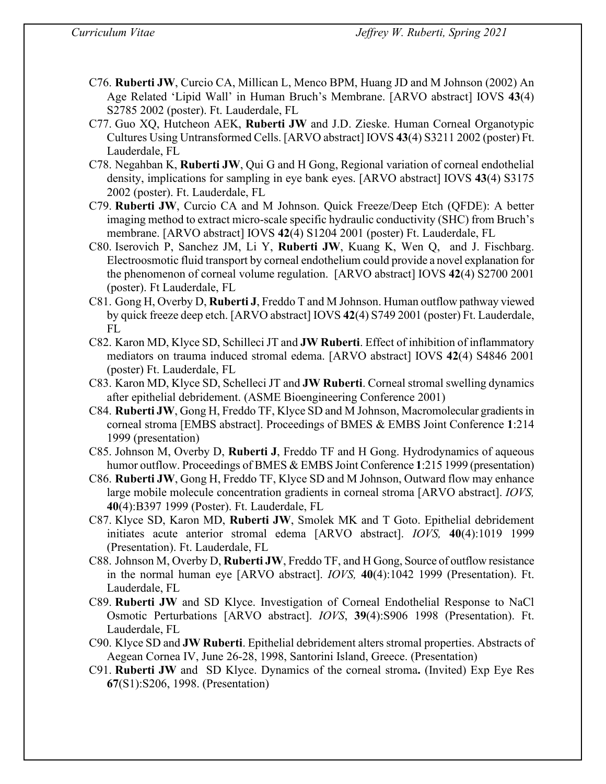- C76. **Ruberti JW**, Curcio CA, Millican L, Menco BPM, Huang JD and M Johnson (2002) An Age Related 'Lipid Wall' in Human Bruch's Membrane. [ARVO abstract] IOVS **43**(4) S2785 2002 (poster). Ft. Lauderdale, FL
- C77. Guo XQ, Hutcheon AEK, **Ruberti JW** and J.D. Zieske. Human Corneal Organotypic Cultures Using Untransformed Cells. [ARVO abstract] IOVS **43**(4) S3211 2002 (poster) Ft. Lauderdale, FL
- C78. Negahban K, **Ruberti JW**, Qui G and H Gong, Regional variation of corneal endothelial density, implications for sampling in eye bank eyes. [ARVO abstract] IOVS **43**(4) S3175 2002 (poster). Ft. Lauderdale, FL
- C79. **Ruberti JW**, Curcio CA and M Johnson. Quick Freeze/Deep Etch (QFDE): A better imaging method to extract micro-scale specific hydraulic conductivity (SHC) from Bruch's membrane. [ARVO abstract] IOVS **42**(4) S1204 2001 (poster) Ft. Lauderdale, FL
- C80. Iserovich P, Sanchez JM, Li Y, **Ruberti JW**, Kuang K, Wen Q, and J. Fischbarg. Electroosmotic fluid transport by corneal endothelium could provide a novel explanation for the phenomenon of corneal volume regulation. [ARVO abstract] IOVS **42**(4) S2700 2001 (poster). Ft Lauderdale, FL
- C81. Gong H, Overby D, **Ruberti J**, Freddo T and M Johnson. Human outflow pathway viewed by quick freeze deep etch. [ARVO abstract] IOVS **42**(4) S749 2001 (poster) Ft. Lauderdale, FL
- C82. Karon MD, Klyce SD, Schilleci JT and **JW Ruberti**. Effect of inhibition of inflammatory mediators on trauma induced stromal edema. [ARVO abstract] IOVS **42**(4) S4846 2001 (poster) Ft. Lauderdale, FL
- C83. Karon MD, Klyce SD, Schelleci JT and **JW Ruberti**. Corneal stromal swelling dynamics after epithelial debridement. (ASME Bioengineering Conference 2001)
- C84. **Ruberti JW**, Gong H, Freddo TF, Klyce SD and M Johnson, Macromolecular gradients in corneal stroma [EMBS abstract]. Proceedings of BMES & EMBS Joint Conference **1**:214 1999 (presentation)
- C85. Johnson M, Overby D, **Ruberti J**, Freddo TF and H Gong. Hydrodynamics of aqueous humor outflow. Proceedings of BMES & EMBS Joint Conference **1**:215 1999 (presentation)
- C86. **Ruberti JW**, Gong H, Freddo TF, Klyce SD and M Johnson, Outward flow may enhance large mobile molecule concentration gradients in corneal stroma [ARVO abstract]. *IOVS,* **40**(4):B397 1999 (Poster). Ft. Lauderdale, FL
- C87. Klyce SD, Karon MD, **Ruberti JW**, Smolek MK and T Goto. Epithelial debridement initiates acute anterior stromal edema [ARVO abstract]. *IOVS,* **40**(4):1019 1999 (Presentation). Ft. Lauderdale, FL
- C88. Johnson M, Overby D, **Ruberti JW**, Freddo TF, and H Gong, Source of outflow resistance in the normal human eye [ARVO abstract]. *IOVS,* **40**(4):1042 1999 (Presentation). Ft. Lauderdale, FL
- C89. **Ruberti JW** and SD Klyce. Investigation of Corneal Endothelial Response to NaCl Osmotic Perturbations [ARVO abstract]. *IOVS*, **39**(4):S906 1998 (Presentation). Ft. Lauderdale, FL
- C90. Klyce SD and **JW Ruberti**. Epithelial debridement alters stromal properties. Abstracts of Aegean Cornea IV, June 26-28, 1998, Santorini Island, Greece. (Presentation)
- C91. **Ruberti JW** and SD Klyce. Dynamics of the corneal stroma**.** (Invited) Exp Eye Res **67**(S1):S206, 1998. (Presentation)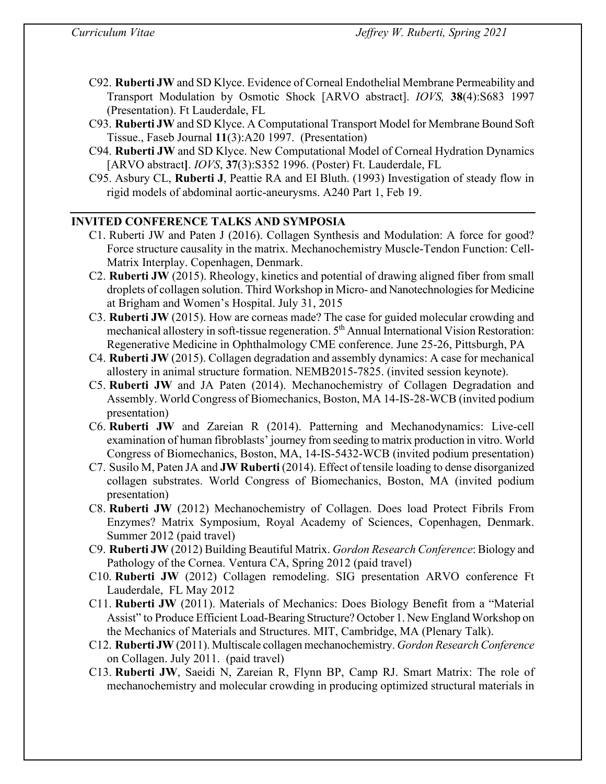- C92. **Ruberti JW** and SD Klyce. Evidence of Corneal Endothelial Membrane Permeability and Transport Modulation by Osmotic Shock [ARVO abstract]. *IOVS,* **38**(4):S683 1997 (Presentation). Ft Lauderdale, FL
- C93. **Ruberti JW** and SD Klyce. A Computational Transport Model for Membrane Bound Soft Tissue., Faseb Journal **11**(3):A20 1997. (Presentation)
- C94. **Ruberti JW** and SD Klyce. New Computational Model of Corneal Hydration Dynamics [ARVO abstract**]**. *IOVS*, **37**(3):S352 1996. (Poster) Ft. Lauderdale, FL
- C95. Asbury CL, **Ruberti J**, Peattie RA and EI Bluth. (1993) Investigation of steady flow in rigid models of abdominal aortic-aneurysms. A240 Part 1, Feb 19.

# **INVITED CONFERENCE TALKS AND SYMPOSIA**

- C1. Ruberti JW and Paten J (2016). Collagen Synthesis and Modulation: A force for good? Force structure causality in the matrix. Mechanochemistry Muscle-Tendon Function: Cell-Matrix Interplay. Copenhagen, Denmark.
- C2. **Ruberti JW** (2015). Rheology, kinetics and potential of drawing aligned fiber from small droplets of collagen solution. Third Workshop in Micro- and Nanotechnologies for Medicine at Brigham and Women's Hospital. July 31, 2015
- C3. **Ruberti JW** (2015). How are corneas made? The case for guided molecular crowding and mechanical allostery in soft-tissue regeneration. 5<sup>th</sup> Annual International Vision Restoration: Regenerative Medicine in Ophthalmology CME conference. June 25-26, Pittsburgh, PA
- C4. **Ruberti JW** (2015). Collagen degradation and assembly dynamics: A case for mechanical allostery in animal structure formation. NEMB2015-7825. (invited session keynote).
- C5. **Ruberti JW** and JA Paten (2014). Mechanochemistry of Collagen Degradation and Assembly. World Congress of Biomechanics, Boston, MA 14-IS-28-WCB (invited podium presentation)
- C6. **Ruberti JW** and Zareian R (2014). Patterning and Mechanodynamics: Live-cell examination of human fibroblasts' journey from seeding to matrix production in vitro. World Congress of Biomechanics, Boston, MA, 14-IS-5432-WCB (invited podium presentation)
- C7. Susilo M, Paten JA and **JW Ruberti** (2014). Effect of tensile loading to dense disorganized collagen substrates. World Congress of Biomechanics, Boston, MA (invited podium presentation)
- C8. **Ruberti JW** (2012) Mechanochemistry of Collagen. Does load Protect Fibrils From Enzymes? Matrix Symposium, Royal Academy of Sciences, Copenhagen, Denmark. Summer 2012 (paid travel)
- C9. **Ruberti JW** (2012) Building Beautiful Matrix. *Gordon Research Conference*: Biology and Pathology of the Cornea. Ventura CA, Spring 2012 (paid travel)
- C10. **Ruberti JW** (2012) Collagen remodeling. SIG presentation ARVO conference Ft Lauderdale, FL May 2012
- C11. **Ruberti JW** (2011). Materials of Mechanics: Does Biology Benefit from a "Material Assist" to Produce Efficient Load-Bearing Structure? October 1. New England Workshop on the Mechanics of Materials and Structures. MIT, Cambridge, MA (Plenary Talk).
- C12. **Ruberti JW** (2011). Multiscale collagen mechanochemistry. *Gordon Research Conference* on Collagen. July 2011. (paid travel)
- C13. **Ruberti JW**, Saeidi N, Zareian R, Flynn BP, Camp RJ. Smart Matrix: The role of mechanochemistry and molecular crowding in producing optimized structural materials in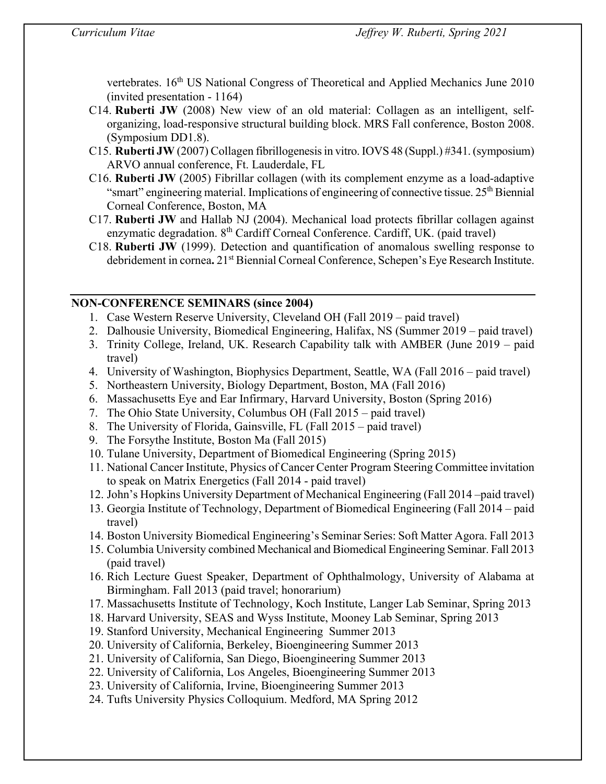vertebrates. 16<sup>th</sup> US National Congress of Theoretical and Applied Mechanics June 2010 (invited presentation - 1164)

- C14. **Ruberti JW** (2008) New view of an old material: Collagen as an intelligent, selforganizing, load-responsive structural building block. MRS Fall conference, Boston 2008. (Symposium DD1.8).
- C15. **Ruberti JW** (2007) Collagen fibrillogenesis in vitro. IOVS 48 (Suppl.) #341. (symposium) ARVO annual conference, Ft. Lauderdale, FL
- C16. **Ruberti JW** (2005) Fibrillar collagen (with its complement enzyme as a load-adaptive "smart" engineering material. Implications of engineering of connective tissue. 25<sup>th</sup> Biennial Corneal Conference, Boston, MA
- C17. **Ruberti JW** and Hallab NJ (2004). Mechanical load protects fibrillar collagen against enzymatic degradation. 8<sup>th</sup> Cardiff Corneal Conference. Cardiff, UK. (paid travel)
- C18. **Ruberti JW** (1999). Detection and quantification of anomalous swelling response to debridement in cornea. 21<sup>st</sup> Biennial Corneal Conference, Schepen's Eye Research Institute.

# **NON-CONFERENCE SEMINARS (since 2004)**

- 1. Case Western Reserve University, Cleveland OH (Fall 2019 paid travel)
- 2. Dalhousie University, Biomedical Engineering, Halifax, NS (Summer 2019 paid travel)
- 3. Trinity College, Ireland, UK. Research Capability talk with AMBER (June 2019 paid travel)
- 4. University of Washington, Biophysics Department, Seattle, WA (Fall 2016 paid travel)
- 5. Northeastern University, Biology Department, Boston, MA (Fall 2016)
- 6. Massachusetts Eye and Ear Infirmary, Harvard University, Boston (Spring 2016)
- 7. The Ohio State University, Columbus OH (Fall 2015 paid travel)
- 8. The University of Florida, Gainsville, FL (Fall 2015 paid travel)
- 9. The Forsythe Institute, Boston Ma (Fall 2015)
- 10. Tulane University, Department of Biomedical Engineering (Spring 2015)
- 11. National Cancer Institute, Physics of Cancer Center Program Steering Committee invitation to speak on Matrix Energetics (Fall 2014 - paid travel)
- 12. John's Hopkins University Department of Mechanical Engineering (Fall 2014 –paid travel)
- 13. Georgia Institute of Technology, Department of Biomedical Engineering (Fall 2014 paid travel)
- 14. Boston University Biomedical Engineering's Seminar Series: Soft Matter Agora. Fall 2013
- 15. Columbia University combined Mechanical and Biomedical Engineering Seminar. Fall 2013 (paid travel)
- 16. Rich Lecture Guest Speaker, Department of Ophthalmology, University of Alabama at Birmingham. Fall 2013 (paid travel; honorarium)
- 17. Massachusetts Institute of Technology, Koch Institute, Langer Lab Seminar, Spring 2013
- 18. Harvard University, SEAS and Wyss Institute, Mooney Lab Seminar, Spring 2013
- 19. Stanford University, Mechanical Engineering Summer 2013
- 20. University of California, Berkeley, Bioengineering Summer 2013
- 21. University of California, San Diego, Bioengineering Summer 2013
- 22. University of California, Los Angeles, Bioengineering Summer 2013
- 23. University of California, Irvine, Bioengineering Summer 2013
- 24. Tufts University Physics Colloquium. Medford, MA Spring 2012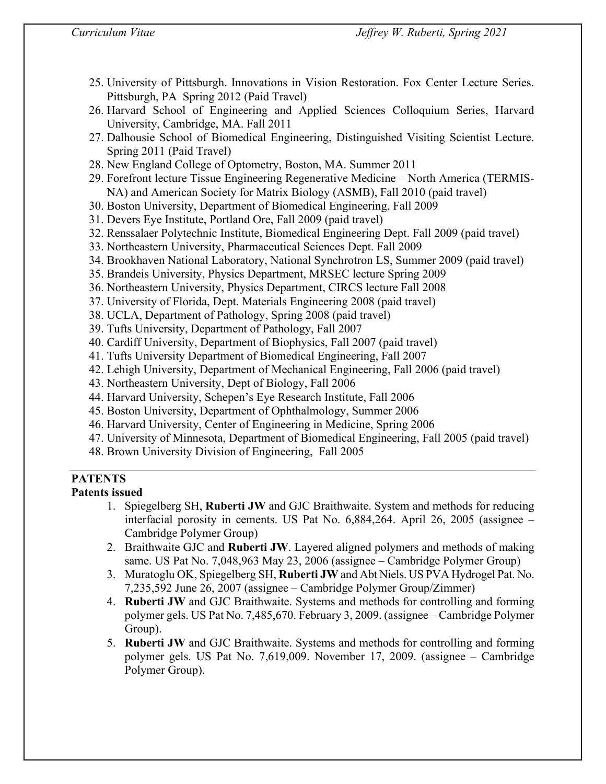- 25. University of Pittsburgh. Innovations in Vision Restoration. Fox Center Lecture Series. Pittsburgh, PA Spring 2012 (Paid Travel)
- 26. Harvard School of Engineering and Applied Sciences Colloquium Series, Harvard University, Cambridge, MA. Fall 2011
- 27. Dalhousie School of Biomedical Engineering, Distinguished Visiting Scientist Lecture. Spring 2011 (Paid Travel)
- 28. New England College of Optometry, Boston, MA. Summer 2011
- 29. Forefront lecture Tissue Engineering Regenerative Medicine North America (TERMIS-NA) and American Society for Matrix Biology (ASMB), Fall 2010 (paid travel)
- 30. Boston University, Department of Biomedical Engineering, Fall 2009
- 31. Devers Eye Institute, Portland Ore, Fall 2009 (paid travel)
- 32. Renssalaer Polytechnic Institute, Biomedical Engineering Dept. Fall 2009 (paid travel)
- 33. Northeastern University, Pharmaceutical Sciences Dept. Fall 2009
- 34. Brookhaven National Laboratory, National Synchrotron LS, Summer 2009 (paid travel)
- 35. Brandeis University, Physics Department, MRSEC lecture Spring 2009
- 36. Northeastern University, Physics Department, CIRCS lecture Fall 2008
- 37. University of Florida, Dept. Materials Engineering 2008 (paid travel)
- 38. UCLA, Department of Pathology, Spring 2008 (paid travel)
- 39. Tufts University, Department of Pathology, Fall 2007
- 40. Cardiff University, Department of Biophysics, Fall 2007 (paid travel)
- 41. Tufts University Department of Biomedical Engineering, Fall 2007
- 42. Lehigh University, Department of Mechanical Engineering, Fall 2006 (paid travel)
- 43. Northeastern University, Dept of Biology, Fall 2006
- 44. Harvard University, Schepen's Eye Research Institute, Fall 2006
- 45. Boston University, Department of Ophthalmology, Summer 2006
- 46. Harvard University, Center of Engineering in Medicine, Spring 2006
- 47. University of Minnesota, Department of Biomedical Engineering, Fall 2005 (paid travel)
- 48. Brown University Division of Engineering, Fall 2005

# **PATENTS**

# **Patents issued**

- 1. Spiegelberg SH, **Ruberti JW** and GJC Braithwaite. System and methods for reducing interfacial porosity in cements. US Pat No. 6,884,264. April 26, 2005 (assignee – Cambridge Polymer Group)
- 2. Braithwaite GJC and **Ruberti JW**. Layered aligned polymers and methods of making same. US Pat No. 7,048,963 May 23, 2006 (assignee – Cambridge Polymer Group)
- 3. Muratoglu OK, Spiegelberg SH, **Ruberti JW** and Abt Niels. US PVA Hydrogel Pat. No. 7,235,592 June 26, 2007 (assignee – Cambridge Polymer Group/Zimmer)
- 4. **Ruberti JW** and GJC Braithwaite. Systems and methods for controlling and forming polymer gels. US Pat No. 7,485,670. February 3, 2009. (assignee – Cambridge Polymer Group).
- 5. **Ruberti JW** and GJC Braithwaite. Systems and methods for controlling and forming polymer gels. US Pat No. 7,619,009. November 17, 2009. (assignee – Cambridge Polymer Group).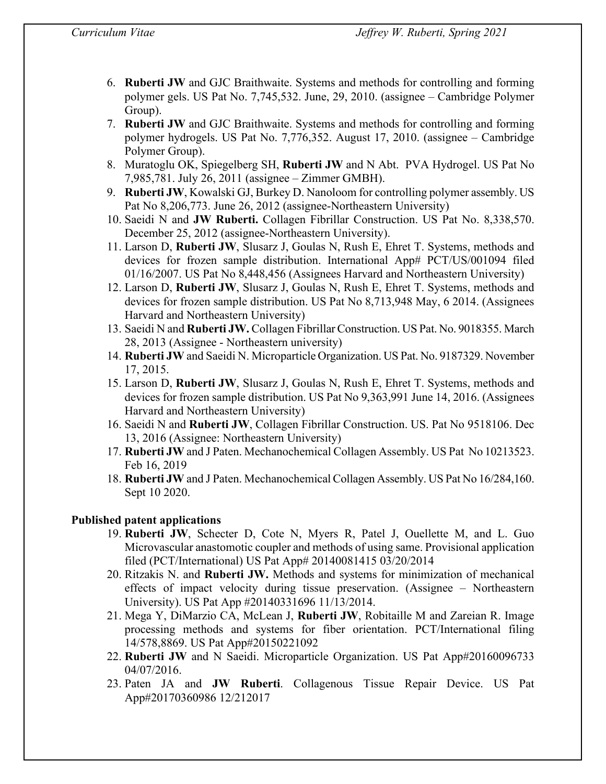- 6. **Ruberti JW** and GJC Braithwaite. Systems and methods for controlling and forming polymer gels. US Pat No. 7,745,532. June, 29, 2010. (assignee – Cambridge Polymer Group).
- 7. **Ruberti JW** and GJC Braithwaite. Systems and methods for controlling and forming polymer hydrogels. US Pat No. 7,776,352. August 17, 2010. (assignee – Cambridge Polymer Group).
- 8. Muratoglu OK, Spiegelberg SH, **Ruberti JW** and N Abt. PVA Hydrogel. US Pat No 7,985,781. July 26, 2011 (assignee – Zimmer GMBH).
- 9. **Ruberti JW**, Kowalski GJ, Burkey D. Nanoloom for controlling polymer assembly. US Pat No 8,206,773. June 26, 2012 (assignee-Northeastern University)
- 10. Saeidi N and **JW Ruberti.** Collagen Fibrillar Construction. US Pat No. 8,338,570. December 25, 2012 (assignee-Northeastern University).
- 11. Larson D, **Ruberti JW**, Slusarz J, Goulas N, Rush E, Ehret T. Systems, methods and devices for frozen sample distribution. International App# PCT/US/001094 filed 01/16/2007. US Pat No 8,448,456 (Assignees Harvard and Northeastern University)
- 12. Larson D, **Ruberti JW**, Slusarz J, Goulas N, Rush E, Ehret T. Systems, methods and devices for frozen sample distribution. US Pat No 8,713,948 May, 6 2014. (Assignees Harvard and Northeastern University)
- 13. Saeidi N and **Ruberti JW.** Collagen Fibrillar Construction. US Pat. No. 9018355. March 28, 2013 (Assignee - Northeastern university)
- 14. **Ruberti JW** and Saeidi N. Microparticle Organization. US Pat. No. 9187329. November 17, 2015.
- 15. Larson D, **Ruberti JW**, Slusarz J, Goulas N, Rush E, Ehret T. Systems, methods and devices for frozen sample distribution. US Pat No 9,363,991 June 14, 2016. (Assignees Harvard and Northeastern University)
- 16. Saeidi N and **Ruberti JW**, Collagen Fibrillar Construction. US. Pat No 9518106. Dec 13, 2016 (Assignee: Northeastern University)
- 17. **Ruberti JW** and J Paten. Mechanochemical Collagen Assembly. US Pat No 10213523. Feb 16, 2019
- 18. **Ruberti JW** and J Paten. Mechanochemical Collagen Assembly. US Pat No 16/284,160. Sept 10 2020.

# **Published patent applications**

- 19. **Ruberti JW**, Schecter D, Cote N, Myers R, Patel J, Ouellette M, and L. Guo Microvascular anastomotic coupler and methods of using same. Provisional application filed (PCT/International) US Pat App# 20140081415 03/20/2014
- 20. Ritzakis N. and **Ruberti JW.** Methods and systems for minimization of mechanical effects of impact velocity during tissue preservation. (Assignee – Northeastern University). US Pat App #20140331696 11/13/2014.
- 21. Mega Y, DiMarzio CA, McLean J, **Ruberti JW**, Robitaille M and Zareian R. Image processing methods and systems for fiber orientation. PCT/International filing 14/578,8869. US Pat App#20150221092
- 22. **Ruberti JW** and N Saeidi. Microparticle Organization. US Pat App#20160096733 04/07/2016.
- 23. Paten JA and **JW Ruberti**. Collagenous Tissue Repair Device. US Pat App#20170360986 12/212017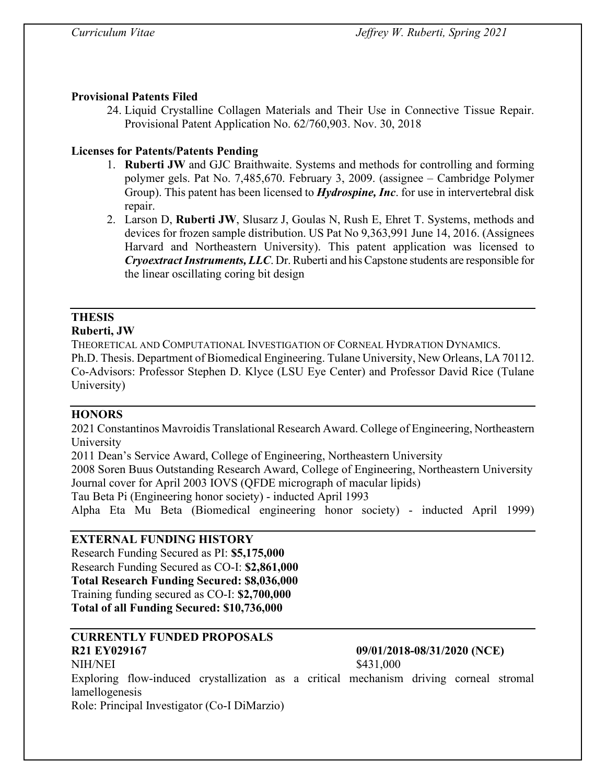# **Provisional Patents Filed**

24. Liquid Crystalline Collagen Materials and Their Use in Connective Tissue Repair. Provisional Patent Application No. 62/760,903. Nov. 30, 2018

# **Licenses for Patents/Patents Pending**

- 1. **Ruberti JW** and GJC Braithwaite. Systems and methods for controlling and forming polymer gels. Pat No. 7,485,670. February 3, 2009. (assignee – Cambridge Polymer Group). This patent has been licensed to *Hydrospine, Inc*. for use in intervertebral disk repair.
- 2. Larson D, **Ruberti JW**, Slusarz J, Goulas N, Rush E, Ehret T. Systems, methods and devices for frozen sample distribution. US Pat No 9,363,991 June 14, 2016. (Assignees Harvard and Northeastern University). This patent application was licensed to *Cryoextract Instruments, LLC*. Dr. Ruberti and his Capstone students are responsible for the linear oscillating coring bit design

# **THESIS**

### **Ruberti, JW**

THEORETICAL AND COMPUTATIONAL INVESTIGATION OF CORNEAL HYDRATION DYNAMICS.

Ph.D. Thesis. Department of Biomedical Engineering. Tulane University, New Orleans, LA 70112. Co-Advisors: Professor Stephen D. Klyce (LSU Eye Center) and Professor David Rice (Tulane University)

# **HONORS**

2021 Constantinos Mavroidis Translational Research Award. College of Engineering, Northeastern University

2011 Dean's Service Award, College of Engineering, Northeastern University

2008 Soren Buus Outstanding Research Award, College of Engineering, Northeastern University Journal cover for April 2003 IOVS (QFDE micrograph of macular lipids)

Tau Beta Pi (Engineering honor society) - inducted April 1993

Alpha Eta Mu Beta (Biomedical engineering honor society) - inducted April 1999)

# **EXTERNAL FUNDING HISTORY**

Research Funding Secured as PI: **\$5,175,000** Research Funding Secured as CO-I: **\$2,861,000 Total Research Funding Secured: \$8,036,000** Training funding secured as CO-I: **\$2,700,000 Total of all Funding Secured: \$10,736,000** 

# **CURRENTLY FUNDED PROPOSALS R21 EY029167 09/01/2018-08/31/2020 (NCE)**

NIH/NEI \$431,000

Exploring flow-induced crystallization as a critical mechanism driving corneal stromal lamellogenesis

Role: Principal Investigator (Co-I DiMarzio)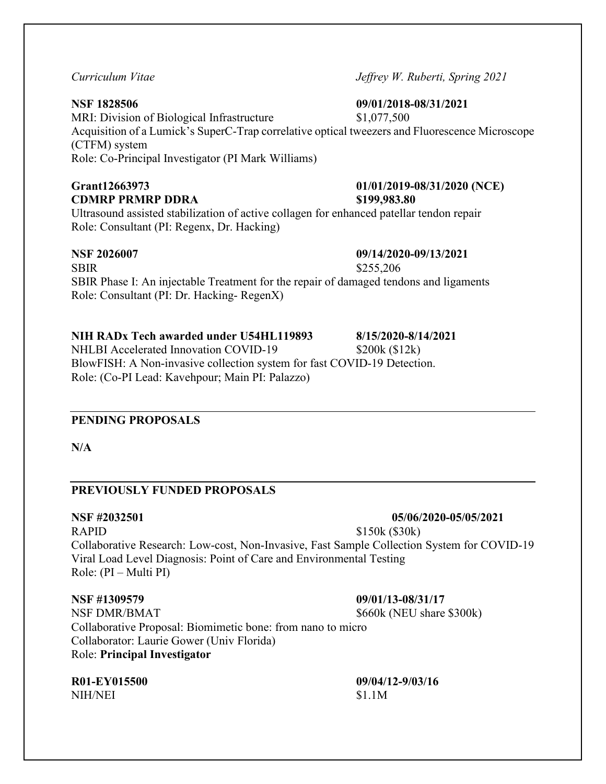### **NSF 1828506 09/01/2018-08/31/2021**

MRI: Division of Biological Infrastructure \$1,077,500 Acquisition of a Lumick's SuperC-Trap correlative optical tweezers and Fluorescence Microscope (CTFM) system Role: Co-Principal Investigator (PI Mark Williams)

# **CDMRP PRMRP DDRA \$199,983.80**

Ultrasound assisted stabilization of active collagen for enhanced patellar tendon repair Role: Consultant (PI: Regenx, Dr. Hacking)

SBIR \$255,206 SBIR Phase I: An injectable Treatment for the repair of damaged tendons and ligaments Role: Consultant (PI: Dr. Hacking- RegenX)

# **NIH RADx Tech awarded under U54HL119893 8/15/2020-8/14/2021**

NHLBI Accelerated Innovation COVID-19 \$200k (\$12k) BlowFISH: A Non-invasive collection system for fast COVID-19 Detection. Role: (Co-PI Lead: Kavehpour; Main PI: Palazzo)

# **PENDING PROPOSALS**

**N/A**

# **PREVIOUSLY FUNDED PROPOSALS**

RAPID \$150k (\$30k) Collaborative Research: Low-cost, Non-Invasive, Fast Sample Collection System for COVID-19 Viral Load Level Diagnosis: Point of Care and Environmental Testing Role: (PI – Multi PI)

#### **NSF #1309579 09/01/13-08/31/17**

NSF DMR/BMAT  $$660k$  (NEU share \$300k) Collaborative Proposal: Biomimetic bone: from nano to micro Collaborator: Laurie Gower (Univ Florida)

### Role: **Principal Investigator**

**R01-EY015500 09/04/12-9/03/16** NIH/NEI \$1.1M

*Curriculum Vitae Jeffrey W. Ruberti, Spring 2021*

# **Grant12663973 01/01/2019-08/31/2020 (NCE)**

**NSF 2026007 09/14/2020-09/13/2021**

**NSF #2032501 05/06/2020-05/05/2021**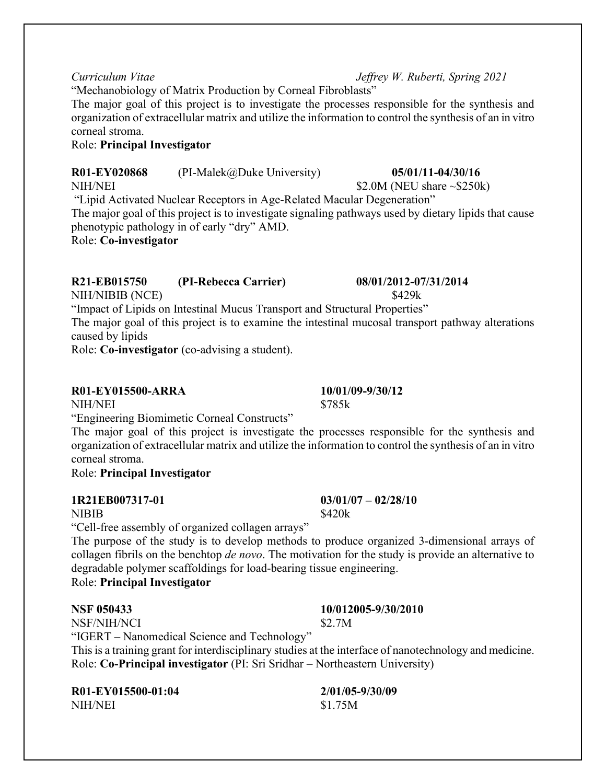"Mechanobiology of Matrix Production by Corneal Fibroblasts"

The major goal of this project is to investigate the processes responsible for the synthesis and organization of extracellular matrix and utilize the information to control the synthesis of an in vitro corneal stroma.

#### Role: **Principal Investigator**

**R01-EY020868** (PI-Malek@Duke University) **05/01/11-04/30/16**

NIH/NEI \$2.0M (NEU share ~\$250k)

"Lipid Activated Nuclear Receptors in Age-Related Macular Degeneration" The major goal of this project is to investigate signaling pathways used by dietary lipids that cause phenotypic pathology in of early "dry" AMD.

Role: **Co-investigator**

# **R21-EB015750 (PI-Rebecca Carrier) 08/01/2012-07/31/2014**

NIH/NIBIB (NCE) \$429k

"Impact of Lipids on Intestinal Mucus Transport and Structural Properties"

The major goal of this project is to examine the intestinal mucosal transport pathway alterations caused by lipids

Role: **Co-investigator** (co-advising a student).

# **R01-EY015500-ARRA 10/01/09-9/30/12**

NIH/NEI \$785k

"Engineering Biomimetic Corneal Constructs"

The major goal of this project is investigate the processes responsible for the synthesis and organization of extracellular matrix and utilize the information to control the synthesis of an in vitro corneal stroma.

Role: **Principal Investigator** 

# **1R21EB007317-01 03/01/07 – 02/28/10**

 $NIBIB$  \$420k

"Cell-free assembly of organized collagen arrays"

The purpose of the study is to develop methods to produce organized 3-dimensional arrays of collagen fibrils on the benchtop *de novo*. The motivation for the study is provide an alternative to degradable polymer scaffoldings for load-bearing tissue engineering. Role: **Principal Investigator**

NSF/NIH/NCI \$2.7M

"IGERT – Nanomedical Science and Technology" This is a training grant for interdisciplinary studies at the interface of nanotechnology and medicine. Role: **Co-Principal investigator** (PI: Sri Sridhar – Northeastern University)

**R01-EY015500-01:04 2/01/05-9/30/09** NIH/NEI \$1.75M

# **NSF 050433 10/012005-9/30/2010**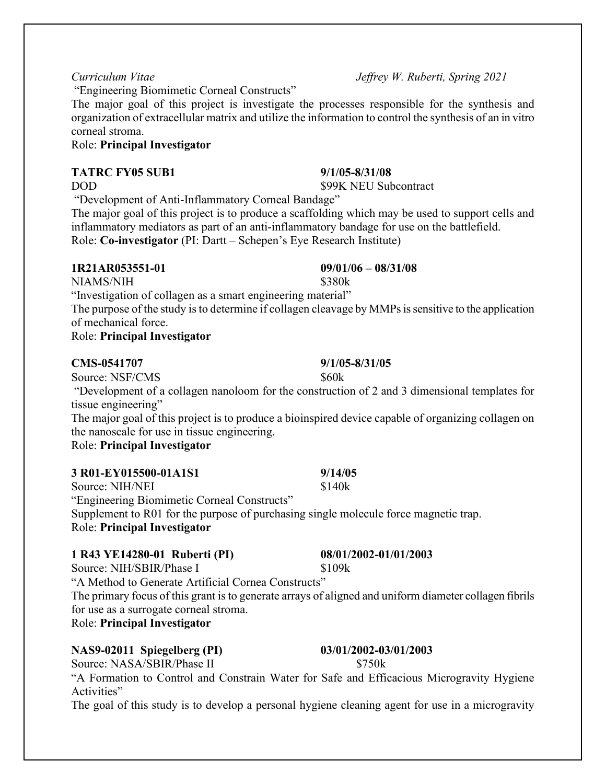"Engineering Biomimetic Corneal Constructs"

The major goal of this project is investigate the processes responsible for the synthesis and organization of extracellular matrix and utilize the information to control the synthesis of an in vitro corneal stroma.

#### Role: **Principal Investigator**

### **TATRC FY05 SUB1 9/1/05-8/31/08**

DOD \$99K NEU Subcontract

"Development of Anti-Inflammatory Corneal Bandage"

The major goal of this project is to produce a scaffolding which may be used to support cells and inflammatory mediators as part of an anti-inflammatory bandage for use on the battlefield. Role: **Co-investigator** (PI: Dartt – Schepen's Eye Research Institute)

#### **1R21AR053551-01 09/01/06 – 08/31/08**

NIAMS/NIH \$380k

"Investigation of collagen as a smart engineering material"

The purpose of the study is to determine if collagen cleavage by MMPs is sensitive to the application of mechanical force.

Role: **Principal Investigator**

# **CMS-0541707 9/1/05-8/31/05**

Source: NSF/CMS  $$60k$ 

"Development of a collagen nanoloom for the construction of 2 and 3 dimensional templates for tissue engineering"

The major goal of this project is to produce a bioinspired device capable of organizing collagen on the nanoscale for use in tissue engineering.

Role: **Principal Investigator**

| 3 R01-EY015500-01A1S1                       | 9/14/05 |
|---------------------------------------------|---------|
| Source: NIH/NEI                             | \$140k  |
| "Engineering Biomimetic Corneal Constructs" |         |

Supplement to R01 for the purpose of purchasing single molecule force magnetic trap. Role: **Principal Investigator**

# **1 R43 YE14280-01 Ruberti (PI) 08/01/2002-01/01/2003**

Source: NIH/SBIR/Phase I \$109k

"A Method to Generate Artificial Cornea Constructs"

The primary focus of this grant is to generate arrays of aligned and uniform diameter collagen fibrils for use as a surrogate corneal stroma.

Role: **Principal Investigator**

# **NAS9-02011 Spiegelberg (PI) 03/01/2002-03/01/2003**

Source: NASA/SBIR/Phase II \$750k

"A Formation to Control and Constrain Water for Safe and Efficacious Microgravity Hygiene Activities"

The goal of this study is to develop a personal hygiene cleaning agent for use in a microgravity

*Curriculum Vitae Jeffrey W. Ruberti, Spring 2021*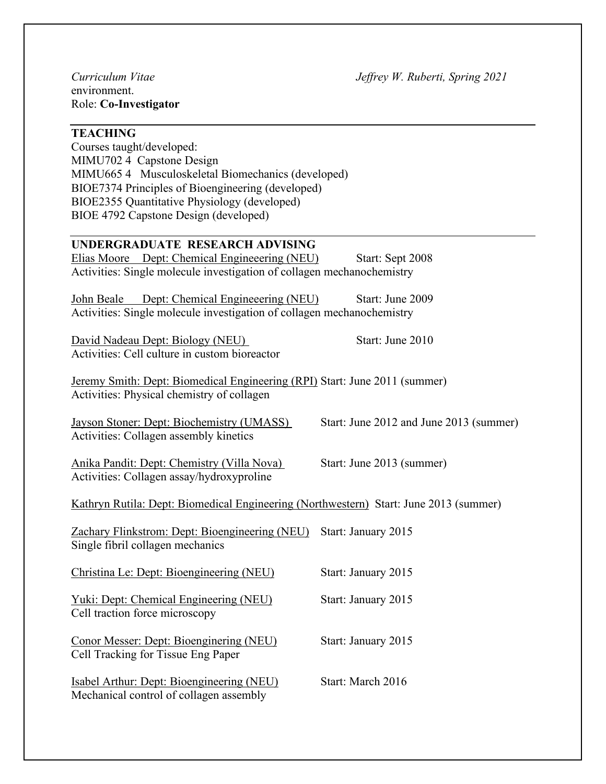environment. Role: **Co-Investigator**

### **TEACHING**

Courses taught/developed: MIMU702 4 Capstone Design MIMU665 4 Musculoskeletal Biomechanics (developed) BIOE7374 Principles of Bioengineering (developed) BIOE2355 Quantitative Physiology (developed) BIOE 4792 Capstone Design (developed)

### **UNDERGRADUATE RESEARCH ADVISING**

Elias Moore Dept: Chemical Engineeering (NEU) Start: Sept 2008 Activities: Single molecule investigation of collagen mechanochemistry

John Beale Dept: Chemical Engineeering (NEU) Start: June 2009 Activities: Single molecule investigation of collagen mechanochemistry

David Nadeau Dept: Biology (NEU) Start: June 2010 Activities: Cell culture in custom bioreactor

Jeremy Smith: Dept: Biomedical Engineering (RPI) Start: June 2011 (summer) Activities: Physical chemistry of collagen

Jayson Stoner: Dept: Biochemistry (UMASS) Start: June 2012 and June 2013 (summer) Activities: Collagen assembly kinetics

Anika Pandit: Dept: Chemistry (Villa Nova) Start: June 2013 (summer) Activities: Collagen assay/hydroxyproline

Kathryn Rutila: Dept: Biomedical Engineering (Northwestern) Start: June 2013 (summer)

Zachary Flinkstrom: Dept: Bioengineering (NEU) Start: January 2015 Single fibril collagen mechanics

Christina Le: Dept: Bioengineering (NEU) Start: January 2015 Yuki: Dept: Chemical Engineering (NEU) Start: January 2015

Cell traction force microscopy

Conor Messer: Dept: Bioenginering (NEU) Start: January 2015 Cell Tracking for Tissue Eng Paper

Isabel Arthur: Dept: Bioengineering (NEU) Start: March 2016 Mechanical control of collagen assembly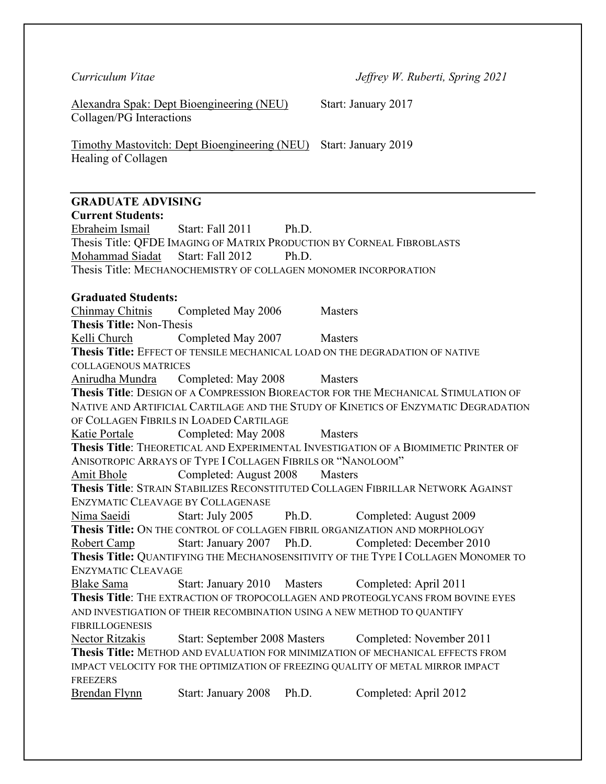Alexandra Spak: Dept Bioengineering (NEU) Start: January 2017 Collagen/PG Interactions

Timothy Mastovitch: Dept Bioengineering (NEU) Start: January 2019 Healing of Collagen

# **GRADUATE ADVISING**

**Current Students:** Ebraheim Ismail Start: Fall 2011 Ph.D. Thesis Title: QFDE IMAGING OF MATRIX PRODUCTION BY CORNEAL FIBROBLASTS Mohammad Siadat Start: Fall 2012 Ph.D. Thesis Title: MECHANOCHEMISTRY OF COLLAGEN MONOMER INCORPORATION **Graduated Students:** Chinmay Chitnis Completed May 2006 Masters **Thesis Title:** Non-Thesis Kelli Church Completed May 2007 Masters **Thesis Title:** EFFECT OF TENSILE MECHANICAL LOAD ON THE DEGRADATION OF NATIVE COLLAGENOUS MATRICES Anirudha Mundra Completed: May 2008 Masters **Thesis Title**: DESIGN OF A COMPRESSION BIOREACTOR FOR THE MECHANICAL STIMULATION OF NATIVE AND ARTIFICIAL CARTILAGE AND THE STUDY OF KINETICS OF ENZYMATIC DEGRADATION OF COLLAGEN FIBRILS IN LOADED CARTILAGE Katie Portale Completed: May 2008 Masters **Thesis Title**: THEORETICAL AND EXPERIMENTAL INVESTIGATION OF A BIOMIMETIC PRINTER OF ANISOTROPIC ARRAYS OF TYPE I COLLAGEN FIBRILS OR "NANOLOOM" Amit Bhole Completed: August 2008 Masters **Thesis Title**: STRAIN STABILIZES RECONSTITUTED COLLAGEN FIBRILLAR NETWORK AGAINST ENZYMATIC CLEAVAGE BY COLLAGENASE Nima Saeidi Start: July 2005 Ph.D. Completed: August 2009 **Thesis Title:** ON THE CONTROL OF COLLAGEN FIBRIL ORGANIZATION AND MORPHOLOGY Robert Camp Start: January 2007 Ph.D. Completed: December 2010 **Thesis Title:** QUANTIFYING THE MECHANOSENSITIVITY OF THE TYPE I COLLAGEN MONOMER TO ENZYMATIC CLEAVAGE Blake Sama Start: January 2010 Masters Completed: April 2011 **Thesis Title**: THE EXTRACTION OF TROPOCOLLAGEN AND PROTEOGLYCANS FROM BOVINE EYES AND INVESTIGATION OF THEIR RECOMBINATION USING A NEW METHOD TO QUANTIFY FIBRILLOGENESIS Nector Ritzakis Start: September 2008 Masters Completed: November 2011 **Thesis Title:** METHOD AND EVALUATION FOR MINIMIZATION OF MECHANICAL EFFECTS FROM IMPACT VELOCITY FOR THE OPTIMIZATION OF FREEZING QUALITY OF METAL MIRROR IMPACT **FREEZERS** Brendan Flynn Start: January 2008 Ph.D. Completed: April 2012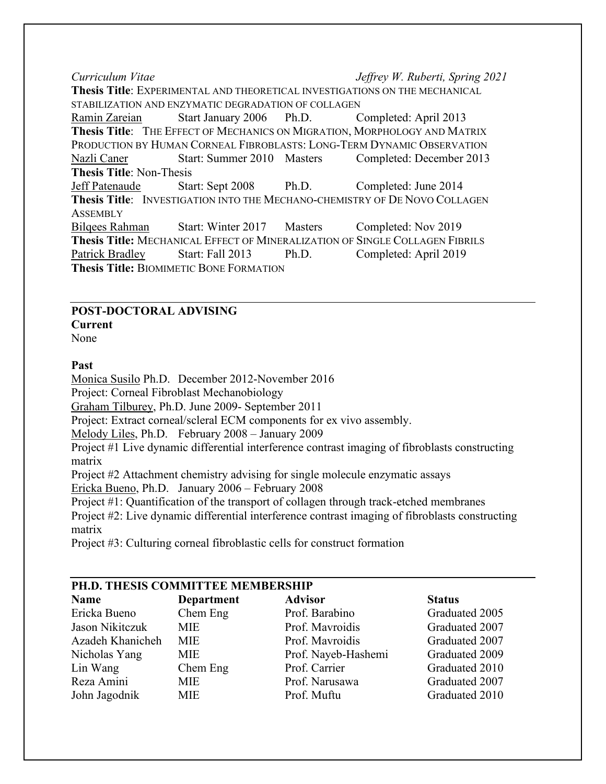*Curriculum Vitae Jeffrey W. Ruberti, Spring 2021* **Thesis Title**: EXPERIMENTAL AND THEORETICAL INVESTIGATIONS ON THE MECHANICAL STABILIZATION AND ENZYMATIC DEGRADATION OF COLLAGEN Ramin Zareian Start January 2006 Ph.D. Completed: April 2013 **Thesis Title**: THE EFFECT OF MECHANICS ON MIGRATION, MORPHOLOGY AND MATRIX PRODUCTION BY HUMAN CORNEAL FIBROBLASTS: LONG-TERM DYNAMIC OBSERVATION Nazli Caner Start: Summer 2010 Masters Completed: December 2013 **Thesis Title**: Non-Thesis Jeff Patenaude Start: Sept 2008 Ph.D. Completed: June 2014 **Thesis Title**: INVESTIGATION INTO THE MECHANO-CHEMISTRY OF DE NOVO COLLAGEN **ASSEMBLY** Bilqees Rahman Start: Winter 2017 Masters Completed: Nov 2019 **Thesis Title:** MECHANICAL EFFECT OF MINERALIZATION OF SINGLE COLLAGEN FIBRILS Patrick Bradley Start: Fall 2013 Ph.D. Completed: April 2019 **Thesis Title:** BIOMIMETIC BONE FORMATION

# **POST-DOCTORAL ADVISING**

**Current**

None

### **Past**

Monica Susilo Ph.D. December 2012-November 2016 Project: Corneal Fibroblast Mechanobiology Graham Tilburey, Ph.D. June 2009- September 2011 Project: Extract corneal/scleral ECM components for ex vivo assembly. Melody Liles, Ph.D. February 2008 – January 2009 Project #1 Live dynamic differential interference contrast imaging of fibroblasts constructing matrix Project #2 Attachment chemistry advising for single molecule enzymatic assays Ericka Bueno, Ph.D. January 2006 – February 2008 Project #1: Quantification of the transport of collagen through track-etched membranes Project #2: Live dynamic differential interference contrast imaging of fibroblasts constructing

matrix

Project #3: Culturing corneal fibroblastic cells for construct formation

| PH.D. THESIS COMMITTEE MEMBERSHIP |            |                     |                |  |  |
|-----------------------------------|------------|---------------------|----------------|--|--|
| <b>Name</b>                       | Department | <b>Advisor</b>      | <b>Status</b>  |  |  |
| Ericka Bueno                      | Chem Eng   | Prof. Barabino      | Graduated 2005 |  |  |
| Jason Nikitczuk                   | <b>MIE</b> | Prof. Mavroidis     | Graduated 2007 |  |  |
| Azadeh Khanicheh                  | <b>MIE</b> | Prof. Mayroidis     | Graduated 2007 |  |  |
| Nicholas Yang                     | <b>MIE</b> | Prof. Nayeb-Hashemi | Graduated 2009 |  |  |
| Lin Wang                          | Chem Eng   | Prof. Carrier       | Graduated 2010 |  |  |
| Reza Amini                        | <b>MIE</b> | Prof. Narusawa      | Graduated 2007 |  |  |
| John Jagodnik                     | <b>MIE</b> | Prof. Muftu         | Graduated 2010 |  |  |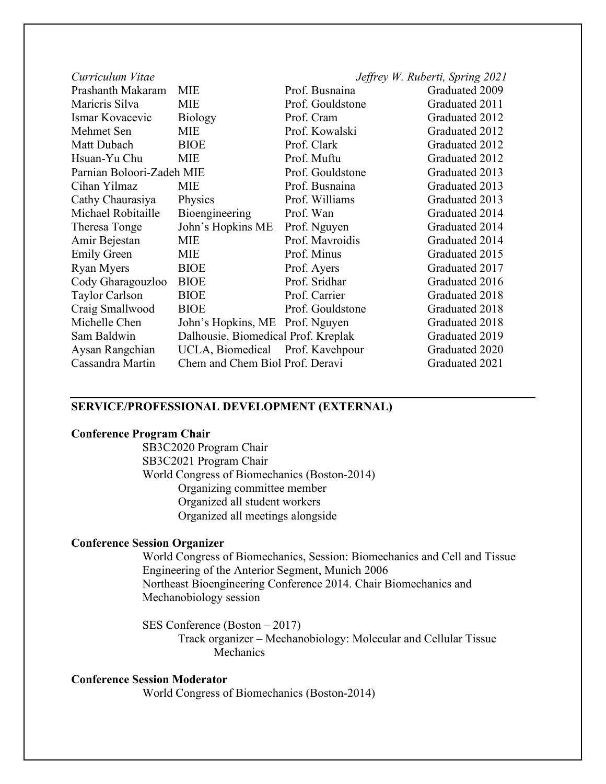| Curriculum Vitae          |                                     |                  | Jeffrey W. Ruberti, Spring 2021 |
|---------------------------|-------------------------------------|------------------|---------------------------------|
| Prashanth Makaram         | <b>MIE</b>                          | Prof. Busnaina   | Graduated 2009                  |
| Maricris Silva            | <b>MIE</b>                          | Prof. Gouldstone | Graduated 2011                  |
| Ismar Kovacevic           | <b>Biology</b>                      | Prof. Cram       | Graduated 2012                  |
| Mehmet Sen                | <b>MIE</b>                          | Prof. Kowalski   | Graduated 2012                  |
| Matt Dubach               | <b>BIOE</b>                         | Prof. Clark      | Graduated 2012                  |
| Hsuan-Yu Chu              | <b>MIE</b>                          | Prof. Muftu      | Graduated 2012                  |
| Parnian Boloori-Zadeh MIE |                                     | Prof. Gouldstone | Graduated 2013                  |
| Cihan Yilmaz              | <b>MIE</b>                          | Prof. Busnaina   | Graduated 2013                  |
| Cathy Chaurasiya          | Physics                             | Prof. Williams   | Graduated 2013                  |
| Michael Robitaille        | Bioengineering                      | Prof. Wan        | Graduated 2014                  |
| Theresa Tonge             | John's Hopkins ME                   | Prof. Nguyen     | Graduated 2014                  |
| Amir Bejestan             | <b>MIE</b>                          | Prof. Mavroidis  | Graduated 2014                  |
| <b>Emily Green</b>        | <b>MIE</b>                          | Prof. Minus      | Graduated 2015                  |
| <b>Ryan Myers</b>         | <b>BIOE</b>                         | Prof. Ayers      | Graduated 2017                  |
| Cody Gharagouzloo         | <b>BIOE</b>                         | Prof. Sridhar    | Graduated 2016                  |
| Taylor Carlson            | <b>BIOE</b>                         | Prof. Carrier    | Graduated 2018                  |
| Craig Smallwood           | <b>BIOE</b>                         | Prof. Gouldstone | Graduated 2018                  |
| Michelle Chen             | John's Hopkins, ME Prof. Nguyen     |                  | Graduated 2018                  |
| Sam Baldwin               | Dalhousie, Biomedical Prof. Kreplak |                  | Graduated 2019                  |
| Aysan Rangchian           | UCLA, Biomedical Prof. Kavehpour    |                  | Graduated 2020                  |
| Cassandra Martin          | Chem and Chem Biol Prof. Deravi     |                  | Graduated 2021                  |

#### **SERVICE/PROFESSIONAL DEVELOPMENT (EXTERNAL)**

#### **Conference Program Chair**

SB3C2020 Program Chair SB3C2021 Program Chair World Congress of Biomechanics (Boston-2014) Organizing committee member Organized all student workers Organized all meetings alongside

#### **Conference Session Organizer**

World Congress of Biomechanics, Session: Biomechanics and Cell and Tissue Engineering of the Anterior Segment, Munich 2006 Northeast Bioengineering Conference 2014. Chair Biomechanics and Mechanobiology session

SES Conference (Boston – 2017)

Track organizer – Mechanobiology: Molecular and Cellular Tissue Mechanics

#### **Conference Session Moderator**

World Congress of Biomechanics (Boston-2014)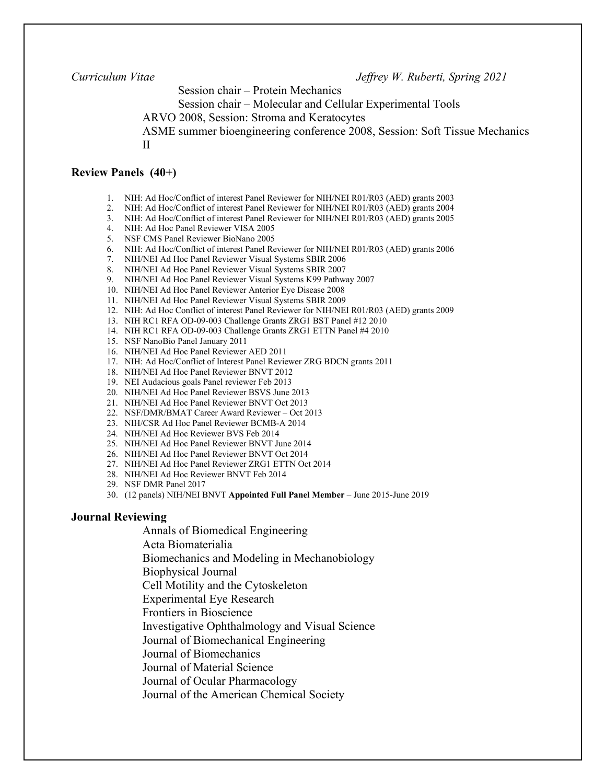Session chair – Protein Mechanics

Session chair – Molecular and Cellular Experimental Tools

ARVO 2008, Session: Stroma and Keratocytes

ASME summer bioengineering conference 2008, Session: Soft Tissue Mechanics II

#### **Review Panels (40+)**

- 1. NIH: Ad Hoc/Conflict of interest Panel Reviewer for NIH/NEI R01/R03 (AED) grants 2003
- 2. NIH: Ad Hoc/Conflict of interest Panel Reviewer for NIH/NEI R01/R03 (AED) grants 2004
- 3. NIH: Ad Hoc/Conflict of interest Panel Reviewer for NIH/NEI R01/R03 (AED) grants 2005
- 4. NIH: Ad Hoc Panel Reviewer VISA 2005
- 5. NSF CMS Panel Reviewer BioNano 2005
- 6. NIH: Ad Hoc/Conflict of interest Panel Reviewer for NIH/NEI R01/R03 (AED) grants 2006
- 7. NIH/NEI Ad Hoc Panel Reviewer Visual Systems SBIR 2006
- 8. NIH/NEI Ad Hoc Panel Reviewer Visual Systems SBIR 2007
- 9. NIH/NEI Ad Hoc Panel Reviewer Visual Systems K99 Pathway 2007
- 10. NIH/NEI Ad Hoc Panel Reviewer Anterior Eye Disease 2008
- 11. NIH/NEI Ad Hoc Panel Reviewer Visual Systems SBIR 2009
- 12. NIH: Ad Hoc Conflict of interest Panel Reviewer for NIH/NEI R01/R03 (AED) grants 2009
- 13. NIH RC1 RFA OD-09-003 Challenge Grants ZRG1 BST Panel #12 2010
- 14. NIH RC1 RFA OD-09-003 Challenge Grants ZRG1 ETTN Panel #4 2010
- 15. NSF NanoBio Panel January 2011
- 16. NIH/NEI Ad Hoc Panel Reviewer AED 2011
- 17. NIH: Ad Hoc/Conflict of Interest Panel Reviewer ZRG BDCN grants 2011
- 18. NIH/NEI Ad Hoc Panel Reviewer BNVT 2012
- 19. NEI Audacious goals Panel reviewer Feb 2013
- 20. NIH/NEI Ad Hoc Panel Reviewer BSVS June 2013
- 21. NIH/NEI Ad Hoc Panel Reviewer BNVT Oct 2013
- 22. NSF/DMR/BMAT Career Award Reviewer Oct 2013
- 23. NIH/CSR Ad Hoc Panel Reviewer BCMB-A 2014
- 24. NIH/NEI Ad Hoc Reviewer BVS Feb 2014
- 25. NIH/NEI Ad Hoc Panel Reviewer BNVT June 2014
- 26. NIH/NEI Ad Hoc Panel Reviewer BNVT Oct 2014
- 27. NIH/NEI Ad Hoc Panel Reviewer ZRG1 ETTN Oct 2014
- 28. NIH/NEI Ad Hoc Reviewer BNVT Feb 2014
- 29. NSF DMR Panel 2017
- 30. (12 panels) NIH/NEI BNVT **Appointed Full Panel Member** June 2015-June 2019

#### **Journal Reviewing**

Annals of Biomedical Engineering

Acta Biomaterialia

Biomechanics and Modeling in Mechanobiology

Biophysical Journal

Cell Motility and the Cytoskeleton

Experimental Eye Research

Frontiers in Bioscience

Investigative Ophthalmology and Visual Science

Journal of Biomechanical Engineering

Journal of Biomechanics

Journal of Material Science

Journal of Ocular Pharmacology

Journal of the American Chemical Society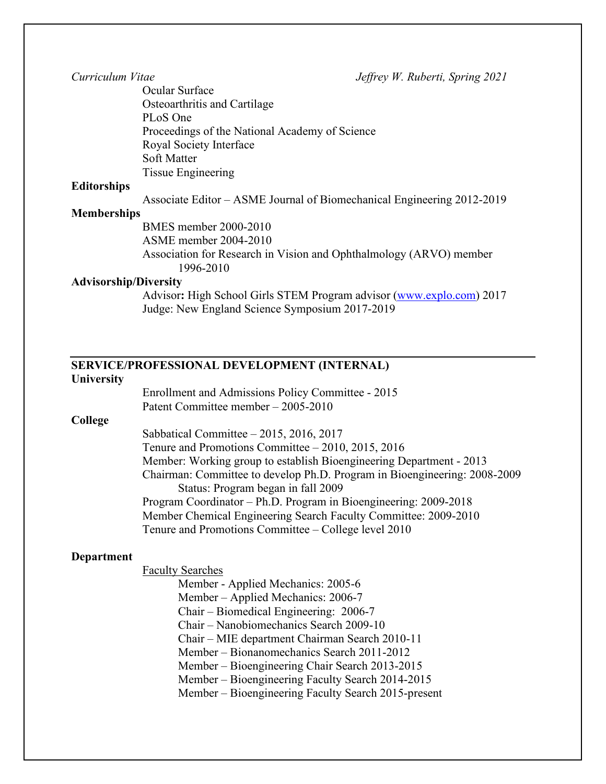Ocular Surface Osteoarthritis and Cartilage PLoS One Proceedings of the National Academy of Science Royal Society Interface Soft Matter Tissue Engineering

#### **Editorships**

Associate Editor – ASME Journal of Biomechanical Engineering 2012-2019

#### **Memberships**

BMES member 2000-2010 ASME member 2004-2010 Association for Research in Vision and Ophthalmology (ARVO) member 1996-2010

#### **Advisorship/Diversity**

Advisor**:** High School Girls STEM Program advisor [\(www.explo.com\)](http://www.explo.com/) 2017 Judge: New England Science Symposium 2017-2019

# **SERVICE/PROFESSIONAL DEVELOPMENT (INTERNAL)**

#### **University**

**College** 

Enrollment and Admissions Policy Committee - 2015 Patent Committee member – 2005-2010 Sabbatical Committee – 2015, 2016, 2017 Tenure and Promotions Committee – 2010, 2015, 2016 Member: Working group to establish Bioengineering Department - 2013 Chairman: Committee to develop Ph.D. Program in Bioengineering: 2008-2009 Status: Program began in fall 2009 Program Coordinator – Ph.D. Program in Bioengineering: 2009-2018 Member Chemical Engineering Search Faculty Committee: 2009-2010 Tenure and Promotions Committee – College level 2010

#### **Department**

Faculty Searches

Member - Applied Mechanics: 2005-6 Member – Applied Mechanics: 2006-7 Chair – Biomedical Engineering: 2006-7 Chair – Nanobiomechanics Search 2009-10 Chair – MIE department Chairman Search 2010-11 Member – Bionanomechanics Search 2011-2012 Member – Bioengineering Chair Search 2013-2015 Member – Bioengineering Faculty Search 2014-2015 Member – Bioengineering Faculty Search 2015-present